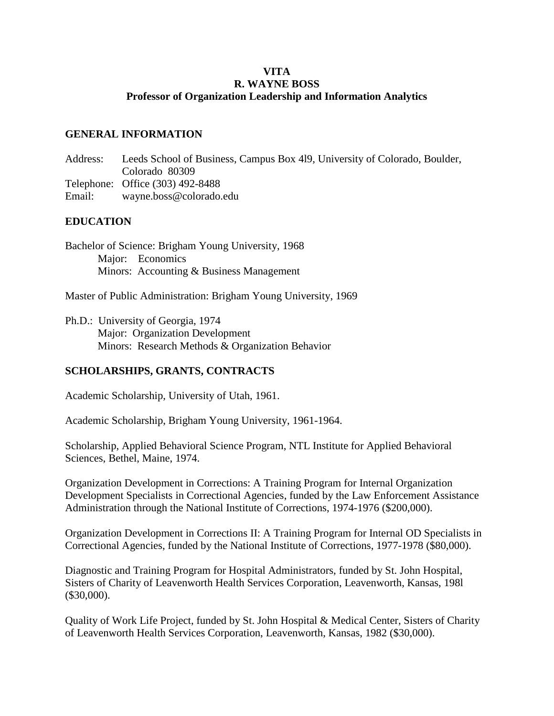## **VITA R. WAYNE BOSS Professor of Organization Leadership and Information Analytics**

## **GENERAL INFORMATION**

Address: Leeds School of Business, Campus Box 4l9, University of Colorado, Boulder, Colorado 80309 Telephone: Office (303) 492-8488 Email: [wayne.boss@colorado.edu](mailto:wayne.boss@colorado.edu)

## **EDUCATION**

Bachelor of Science: Brigham Young University, 1968 Major: Economics Minors: Accounting & Business Management

Master of Public Administration: Brigham Young University, 1969

Ph.D.: University of Georgia, 1974 Major: Organization Development Minors: Research Methods & Organization Behavior

## **SCHOLARSHIPS, GRANTS, CONTRACTS**

Academic Scholarship, University of Utah, 1961.

Academic Scholarship, Brigham Young University, 1961-1964.

Scholarship, Applied Behavioral Science Program, NTL Institute for Applied Behavioral Sciences, Bethel, Maine, 1974.

Organization Development in Corrections: A Training Program for Internal Organization Development Specialists in Correctional Agencies, funded by the Law Enforcement Assistance Administration through the National Institute of Corrections, 1974-1976 (\$200,000).

Organization Development in Corrections II: A Training Program for Internal OD Specialists in Correctional Agencies, funded by the National Institute of Corrections, 1977-1978 (\$80,000).

Diagnostic and Training Program for Hospital Administrators, funded by St. John Hospital, Sisters of Charity of Leavenworth Health Services Corporation, Leavenworth, Kansas, 198l (\$30,000).

Quality of Work Life Project, funded by St. John Hospital & Medical Center, Sisters of Charity of Leavenworth Health Services Corporation, Leavenworth, Kansas, 1982 (\$30,000).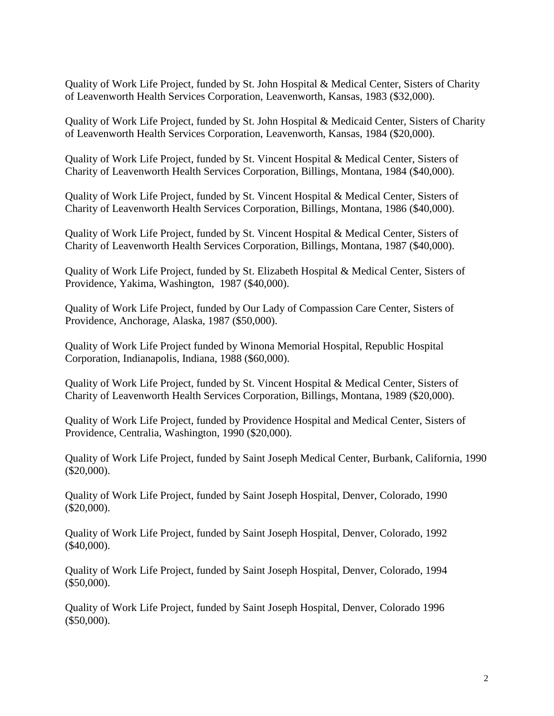Quality of Work Life Project, funded by St. John Hospital & Medical Center, Sisters of Charity of Leavenworth Health Services Corporation, Leavenworth, Kansas, 1983 (\$32,000).

Quality of Work Life Project, funded by St. John Hospital & Medicaid Center, Sisters of Charity of Leavenworth Health Services Corporation, Leavenworth, Kansas, 1984 (\$20,000).

Quality of Work Life Project, funded by St. Vincent Hospital & Medical Center, Sisters of Charity of Leavenworth Health Services Corporation, Billings, Montana, 1984 (\$40,000).

Quality of Work Life Project, funded by St. Vincent Hospital & Medical Center, Sisters of Charity of Leavenworth Health Services Corporation, Billings, Montana, 1986 (\$40,000).

Quality of Work Life Project, funded by St. Vincent Hospital & Medical Center, Sisters of Charity of Leavenworth Health Services Corporation, Billings, Montana, 1987 (\$40,000).

Quality of Work Life Project, funded by St. Elizabeth Hospital & Medical Center, Sisters of Providence, Yakima, Washington, 1987 (\$40,000).

Quality of Work Life Project, funded by Our Lady of Compassion Care Center, Sisters of Providence, Anchorage, Alaska, 1987 (\$50,000).

Quality of Work Life Project funded by Winona Memorial Hospital, Republic Hospital Corporation, Indianapolis, Indiana, 1988 (\$60,000).

Quality of Work Life Project, funded by St. Vincent Hospital & Medical Center, Sisters of Charity of Leavenworth Health Services Corporation, Billings, Montana, 1989 (\$20,000).

Quality of Work Life Project, funded by Providence Hospital and Medical Center, Sisters of Providence, Centralia, Washington, 1990 (\$20,000).

Quality of Work Life Project, funded by Saint Joseph Medical Center, Burbank, California, 1990 (\$20,000).

Quality of Work Life Project, funded by Saint Joseph Hospital, Denver, Colorado, 1990 (\$20,000).

Quality of Work Life Project, funded by Saint Joseph Hospital, Denver, Colorado, 1992 (\$40,000).

Quality of Work Life Project, funded by Saint Joseph Hospital, Denver, Colorado, 1994 (\$50,000).

Quality of Work Life Project, funded by Saint Joseph Hospital, Denver, Colorado 1996 (\$50,000).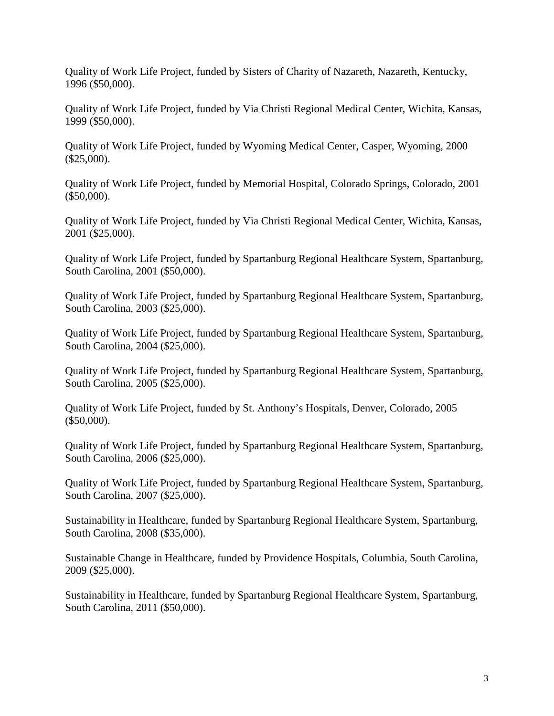Quality of Work Life Project, funded by Sisters of Charity of Nazareth, Nazareth, Kentucky, 1996 (\$50,000).

Quality of Work Life Project, funded by Via Christi Regional Medical Center, Wichita, Kansas, 1999 (\$50,000).

Quality of Work Life Project, funded by Wyoming Medical Center, Casper, Wyoming, 2000 (\$25,000).

Quality of Work Life Project, funded by Memorial Hospital, Colorado Springs, Colorado, 2001 (\$50,000).

Quality of Work Life Project, funded by Via Christi Regional Medical Center, Wichita, Kansas, 2001 (\$25,000).

Quality of Work Life Project, funded by Spartanburg Regional Healthcare System, Spartanburg, South Carolina, 2001 (\$50,000).

Quality of Work Life Project, funded by Spartanburg Regional Healthcare System, Spartanburg, South Carolina, 2003 (\$25,000).

Quality of Work Life Project, funded by Spartanburg Regional Healthcare System, Spartanburg, South Carolina, 2004 (\$25,000).

Quality of Work Life Project, funded by Spartanburg Regional Healthcare System, Spartanburg, South Carolina, 2005 (\$25,000).

Quality of Work Life Project, funded by St. Anthony's Hospitals, Denver, Colorado, 2005 (\$50,000).

Quality of Work Life Project, funded by Spartanburg Regional Healthcare System, Spartanburg, South Carolina, 2006 (\$25,000).

Quality of Work Life Project, funded by Spartanburg Regional Healthcare System, Spartanburg, South Carolina, 2007 (\$25,000).

Sustainability in Healthcare, funded by Spartanburg Regional Healthcare System, Spartanburg, South Carolina, 2008 (\$35,000).

Sustainable Change in Healthcare, funded by Providence Hospitals, Columbia, South Carolina, 2009 (\$25,000).

Sustainability in Healthcare, funded by Spartanburg Regional Healthcare System, Spartanburg, South Carolina, 2011 (\$50,000).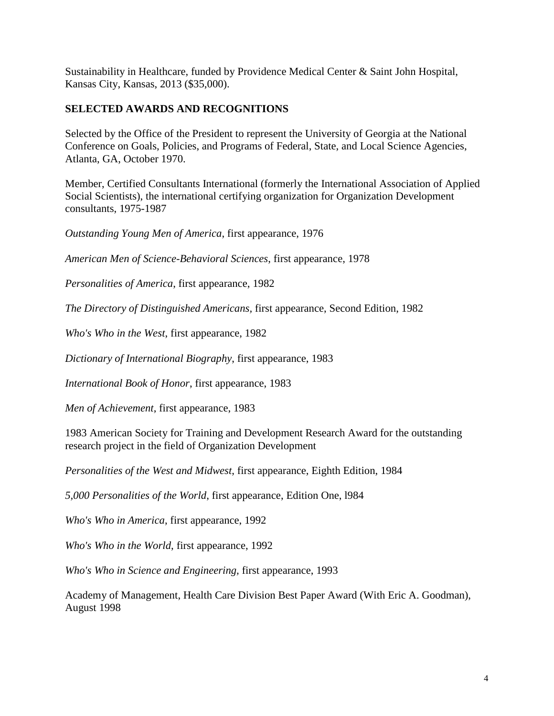Sustainability in Healthcare, funded by Providence Medical Center & Saint John Hospital, Kansas City, Kansas, 2013 (\$35,000).

# **SELECTED AWARDS AND RECOGNITIONS**

Selected by the Office of the President to represent the University of Georgia at the National Conference on Goals, Policies, and Programs of Federal, State, and Local Science Agencies, Atlanta, GA, October 1970.

Member, Certified Consultants International (formerly the International Association of Applied Social Scientists), the international certifying organization for Organization Development consultants, 1975-1987

*Outstanding Young Men of America*, first appearance, 1976

*American Men of Science-Behavioral Sciences*, first appearance, 1978

*Personalities of America*, first appearance, 1982

*The Directory of Distinguished Americans,* first appearance, Second Edition, 1982

*Who's Who in the West*, first appearance, 1982

*Dictionary of International Biography*, first appearance, 1983

*International Book of Honor*, first appearance, 1983

*Men of Achievement*, first appearance, 1983

1983 American Society for Training and Development Research Award for the outstanding research project in the field of Organization Development

*Personalities of the West and Midwest*, first appearance, Eighth Edition, 1984

*5,000 Personalities of the World*, first appearance, Edition One, l984

*Who's Who in America*, first appearance, 1992

*Who's Who in the World*, first appearance, 1992

*Who's Who in Science and Engineering,* first appearance, 1993

Academy of Management, Health Care Division Best Paper Award (With Eric A. Goodman), August 1998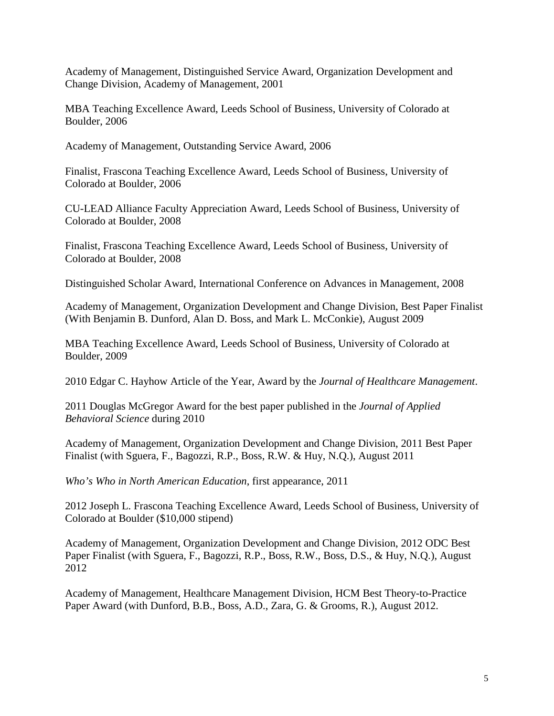Academy of Management, Distinguished Service Award, Organization Development and Change Division, Academy of Management, 2001

MBA Teaching Excellence Award, Leeds School of Business, University of Colorado at Boulder, 2006

Academy of Management, Outstanding Service Award, 2006

Finalist, Frascona Teaching Excellence Award, Leeds School of Business, University of Colorado at Boulder, 2006

CU-LEAD Alliance Faculty Appreciation Award, Leeds School of Business, University of Colorado at Boulder, 2008

Finalist, Frascona Teaching Excellence Award, Leeds School of Business, University of Colorado at Boulder, 2008

Distinguished Scholar Award, International Conference on Advances in Management, 2008

Academy of Management, Organization Development and Change Division, Best Paper Finalist (With Benjamin B. Dunford, Alan D. Boss, and Mark L. McConkie), August 2009

MBA Teaching Excellence Award, Leeds School of Business, University of Colorado at Boulder, 2009

2010 Edgar C. Hayhow Article of the Year, Award by the *Journal of Healthcare Management*.

2011 Douglas McGregor Award for the best paper published in the *Journal of Applied Behavioral Science* during 2010

Academy of Management, Organization Development and Change Division, 2011 Best Paper Finalist (with Sguera, F., Bagozzi, R.P., Boss, R.W. & Huy, N.Q.), August 2011

*Who's Who in North American Education*, first appearance, 2011

2012 Joseph L. Frascona Teaching Excellence Award, Leeds School of Business, University of Colorado at Boulder (\$10,000 stipend)

Academy of Management, Organization Development and Change Division, 2012 ODC Best Paper Finalist (with Sguera, F., Bagozzi, R.P., Boss, R.W., Boss, D.S., & Huy, N.Q.), August 2012

Academy of Management, Healthcare Management Division, HCM Best Theory-to-Practice Paper Award (with Dunford, B.B., Boss, A.D., Zara, G. & Grooms, R.), August 2012.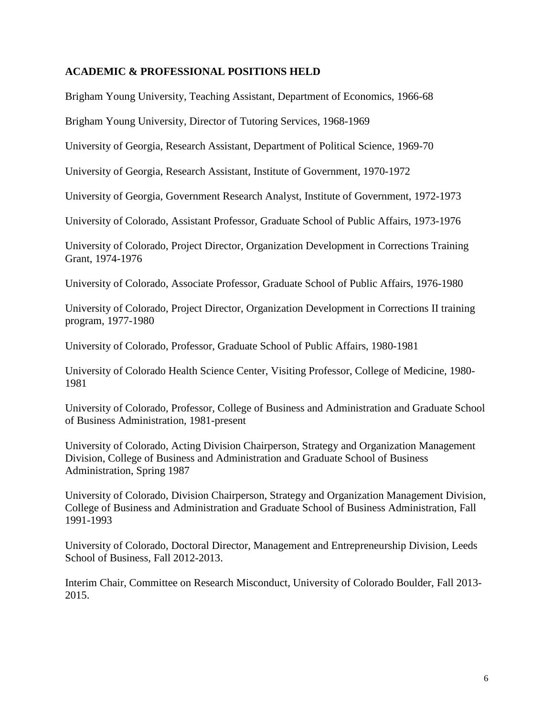## **ACADEMIC & PROFESSIONAL POSITIONS HELD**

Brigham Young University, Teaching Assistant, Department of Economics, 1966-68

Brigham Young University, Director of Tutoring Services, 1968-1969

University of Georgia, Research Assistant, Department of Political Science, 1969-70

University of Georgia, Research Assistant, Institute of Government, 1970-1972

University of Georgia, Government Research Analyst, Institute of Government, 1972-1973

University of Colorado, Assistant Professor, Graduate School of Public Affairs, 1973-1976

University of Colorado, Project Director, Organization Development in Corrections Training Grant, 1974-1976

University of Colorado, Associate Professor, Graduate School of Public Affairs, 1976-1980

University of Colorado, Project Director, Organization Development in Corrections II training program, 1977-1980

University of Colorado, Professor, Graduate School of Public Affairs, 1980-1981

University of Colorado Health Science Center, Visiting Professor, College of Medicine, 1980- 1981

University of Colorado, Professor, College of Business and Administration and Graduate School of Business Administration, 1981-present

University of Colorado, Acting Division Chairperson, Strategy and Organization Management Division, College of Business and Administration and Graduate School of Business Administration, Spring 1987

University of Colorado, Division Chairperson, Strategy and Organization Management Division, College of Business and Administration and Graduate School of Business Administration, Fall 1991-1993

University of Colorado, Doctoral Director, Management and Entrepreneurship Division, Leeds School of Business, Fall 2012-2013.

Interim Chair, Committee on Research Misconduct, University of Colorado Boulder, Fall 2013- 2015.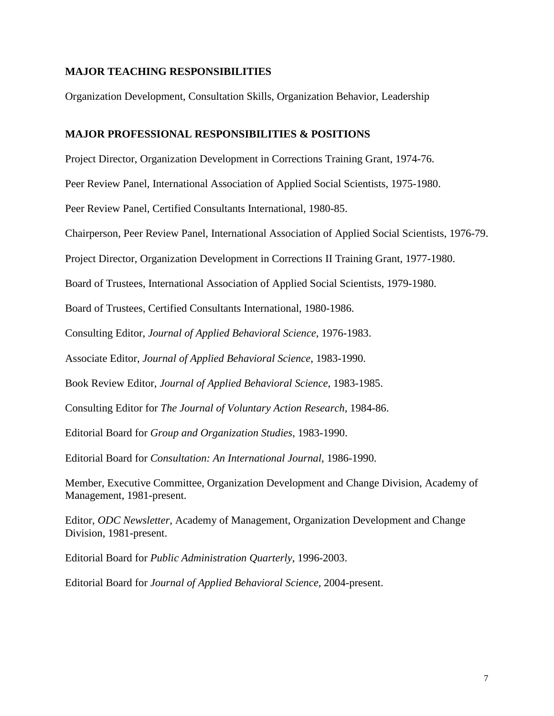## **MAJOR TEACHING RESPONSIBILITIES**

Organization Development, Consultation Skills, Organization Behavior, Leadership

### **MAJOR PROFESSIONAL RESPONSIBILITIES & POSITIONS**

Project Director, Organization Development in Corrections Training Grant, 1974-76.

Peer Review Panel, International Association of Applied Social Scientists, 1975-1980.

Peer Review Panel, Certified Consultants International, 1980-85.

Chairperson, Peer Review Panel, International Association of Applied Social Scientists, 1976-79.

Project Director, Organization Development in Corrections II Training Grant, 1977-1980.

Board of Trustees, International Association of Applied Social Scientists, 1979-1980.

Board of Trustees, Certified Consultants International, 1980-1986.

Consulting Editor, *Journal of Applied Behavioral Science*, 1976-1983.

Associate Editor, *Journal of Applied Behavioral Science*, 1983-1990.

Book Review Editor, *Journal of Applied Behavioral Science*, 1983-1985.

Consulting Editor for *The Journal of Voluntary Action Research*, 1984-86.

Editorial Board for *Group and Organization Studies*, 1983-1990.

Editorial Board for *Consultation: An International Journal*, 1986-1990.

Member, Executive Committee, Organization Development and Change Division, Academy of Management, 1981-present.

Editor, *ODC Newsletter*, Academy of Management, Organization Development and Change Division, 1981-present.

Editorial Board for *Public Administration Quarterly*, 1996-2003.

Editorial Board for *Journal of Applied Behavioral Science*, 2004-present.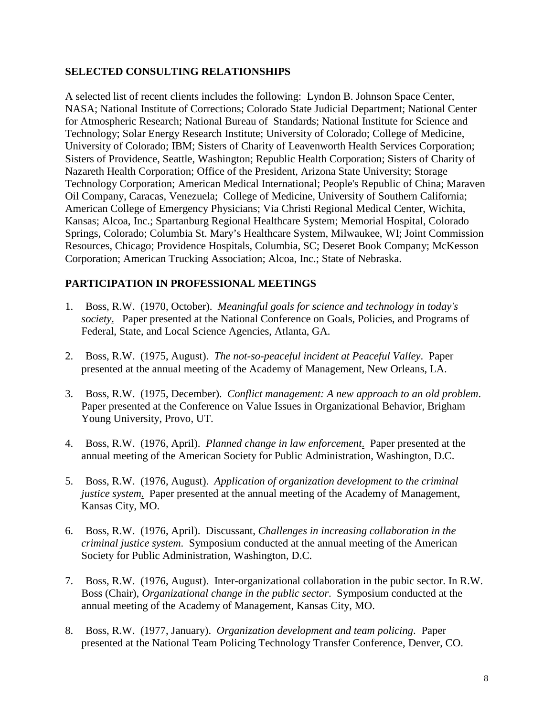# **SELECTED CONSULTING RELATIONSHIPS**

A selected list of recent clients includes the following: Lyndon B. Johnson Space Center, NASA; National Institute of Corrections; Colorado State Judicial Department; National Center for Atmospheric Research; National Bureau of Standards; National Institute for Science and Technology; Solar Energy Research Institute; University of Colorado; College of Medicine, University of Colorado; IBM; Sisters of Charity of Leavenworth Health Services Corporation; Sisters of Providence, Seattle, Washington; Republic Health Corporation; Sisters of Charity of Nazareth Health Corporation; Office of the President, Arizona State University; Storage Technology Corporation; American Medical International; People's Republic of China; Maraven Oil Company, Caracas, Venezuela; College of Medicine, University of Southern California; American College of Emergency Physicians; Via Christi Regional Medical Center, Wichita, Kansas; Alcoa, Inc.; Spartanburg Regional Healthcare System; Memorial Hospital, Colorado Springs, Colorado; Columbia St. Mary's Healthcare System, Milwaukee, WI; Joint Commission Resources, Chicago; Providence Hospitals, Columbia, SC; Deseret Book Company; McKesson Corporation; American Trucking Association; Alcoa, Inc.; State of Nebraska.

# **PARTICIPATION IN PROFESSIONAL MEETINGS**

- 1. Boss, R.W. (1970, October). *Meaningful goals for science and technology in today's society*. Paper presented at the National Conference on Goals, Policies, and Programs of Federal, State, and Local Science Agencies, Atlanta, GA.
- 2. Boss, R.W. (1975, August). *The not-so-peaceful incident at Peaceful Valley*. Paper presented at the annual meeting of the Academy of Management, New Orleans, LA.
- 3. Boss, R.W. (1975, December). *Conflict management: A new approach to an old problem*. Paper presented at the Conference on Value Issues in Organizational Behavior, Brigham Young University, Provo, UT.
- 4. Boss, R.W. (1976, April). *Planned change in law enforcement*. Paper presented at the annual meeting of the American Society for Public Administration, Washington, D.C.
- 5. Boss, R.W. (1976, August). *Application of organization development to the criminal justice system*. Paper presented at the annual meeting of the Academy of Management, Kansas City, MO.
- 6. Boss, R.W. (1976, April). Discussant, *Challenges in increasing collaboration in the criminal justice system*. Symposium conducted at the annual meeting of the American Society for Public Administration, Washington, D.C.
- 7. Boss, R.W. (1976, August). Inter-organizational collaboration in the pubic sector. In R.W. Boss (Chair), *Organizational change in the public sector*. Symposium conducted at the annual meeting of the Academy of Management, Kansas City, MO.
- 8. Boss, R.W. (1977, January). *Organization development and team policing*. Paper presented at the National Team Policing Technology Transfer Conference, Denver, CO.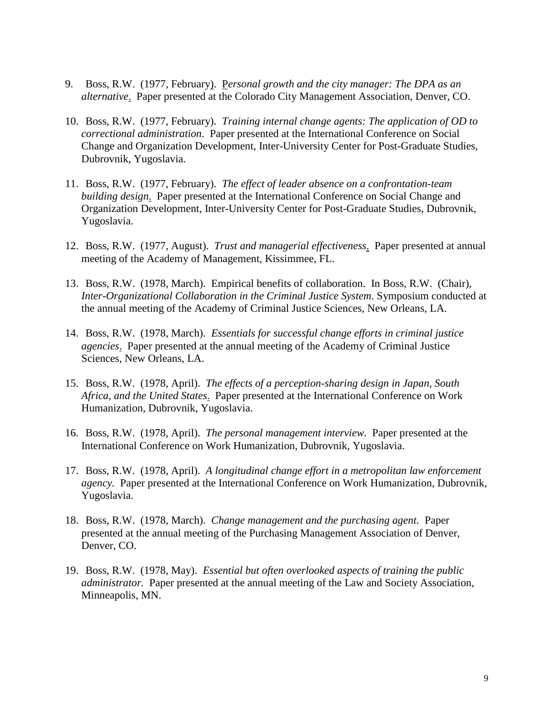- 9. Boss, R.W. (1977, February). P*ersonal growth and the city manager: The DPA as an alternative*. Paper presented at the Colorado City Management Association, Denver, CO.
- 10. Boss, R.W. (1977, February). *Training internal change agents: The application of OD to correctional administration*. Paper presented at the International Conference on Social Change and Organization Development, Inter-University Center for Post-Graduate Studies, Dubrovnik, Yugoslavia.
- 11. Boss, R.W. (1977, February). *The effect of leader absence on a confrontation-team building design*. Paper presented at the International Conference on Social Change and Organization Development, Inter-University Center for Post-Graduate Studies, Dubrovnik, Yugoslavia.
- 12. Boss, R.W. (1977, August). *Trust and managerial effectiveness*. Paper presented at annual meeting of the Academy of Management, Kissimmee, FL.
- 13. Boss, R.W. (1978, March). Empirical benefits of collaboration. In Boss, R.W. (Chair), *Inter-Organizational Collaboration in the Criminal Justice System*. Symposium conducted at the annual meeting of the Academy of Criminal Justice Sciences, New Orleans, LA.
- 14. Boss, R.W. (1978, March). *Essentials for successful change efforts in criminal justice agencies*. Paper presented at the annual meeting of the Academy of Criminal Justice Sciences, New Orleans, LA.
- 15. Boss, R.W. (1978, April). *The effects of a perception-sharing design in Japan, South Africa, and the United States*. Paper presented at the International Conference on Work Humanization, Dubrovnik, Yugoslavia.
- 16. Boss, R.W. (1978, April). *The personal management interview.* Paper presented at the International Conference on Work Humanization, Dubrovnik, Yugoslavia.
- 17. Boss, R.W. (1978, April). *A longitudinal change effort in a metropolitan law enforcement agency.* Paper presented at the International Conference on Work Humanization, Dubrovnik, Yugoslavia.
- 18. Boss, R.W. (1978, March). *Change management and the purchasing agent.* Paper presented at the annual meeting of the Purchasing Management Association of Denver, Denver, CO.
- 19. Boss, R.W. (1978, May). *Essential but often overlooked aspects of training the public administrator.* Paper presented at the annual meeting of the Law and Society Association, Minneapolis, MN.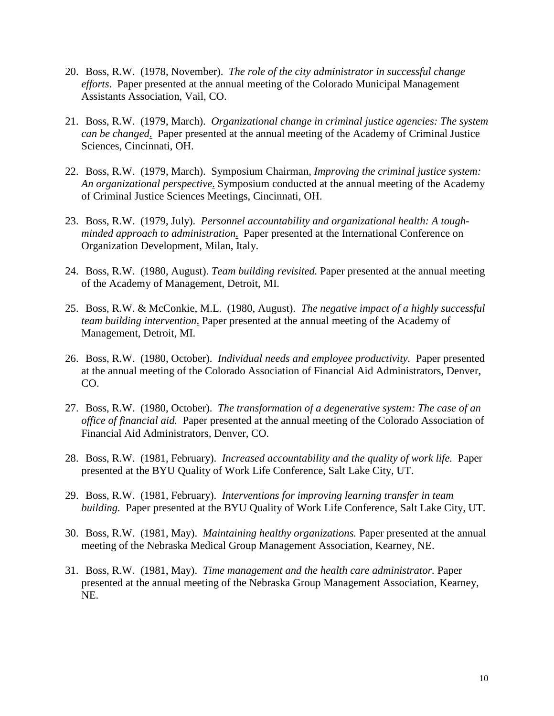- 20. Boss, R.W. (1978, November). *The role of the city administrator in successful change efforts*. Paper presented at the annual meeting of the Colorado Municipal Management Assistants Association, Vail, CO.
- 21. Boss, R.W. (1979, March). *Organizational change in criminal justice agencies: The system can be changed*. Paper presented at the annual meeting of the Academy of Criminal Justice Sciences, Cincinnati, OH.
- 22. Boss, R.W. (1979, March). Symposium Chairman, *Improving the criminal justice system: An organizational perspective*. Symposium conducted at the annual meeting of the Academy of Criminal Justice Sciences Meetings, Cincinnati, OH.
- 23. Boss, R.W. (1979, July). *Personnel accountability and organizational health: A toughminded approach to administration*. Paper presented at the International Conference on Organization Development, Milan, Italy.
- 24. Boss, R.W. (1980, August). *Team building revisited.* Paper presented at the annual meeting of the Academy of Management, Detroit, MI.
- 25. Boss, R.W. & McConkie, M.L. (1980, August). *The negative impact of a highly successful team building intervention*. Paper presented at the annual meeting of the Academy of Management, Detroit, MI.
- 26. Boss, R.W. (1980, October). *Individual needs and employee productivity.* Paper presented at the annual meeting of the Colorado Association of Financial Aid Administrators, Denver, CO.
- 27. Boss, R.W. (1980, October). *The transformation of a degenerative system: The case of an office of financial aid.* Paper presented at the annual meeting of the Colorado Association of Financial Aid Administrators, Denver, CO.
- 28. Boss, R.W. (1981, February). *Increased accountability and the quality of work life.* Paper presented at the BYU Quality of Work Life Conference, Salt Lake City, UT.
- 29. Boss, R.W. (1981, February). *Interventions for improving learning transfer in team building.* Paper presented at the BYU Quality of Work Life Conference, Salt Lake City, UT.
- 30. Boss, R.W. (1981, May). *Maintaining healthy organizations.* Paper presented at the annual meeting of the Nebraska Medical Group Management Association, Kearney, NE.
- 31. Boss, R.W. (1981, May). *Time management and the health care administrator.* Paper presented at the annual meeting of the Nebraska Group Management Association, Kearney, NE.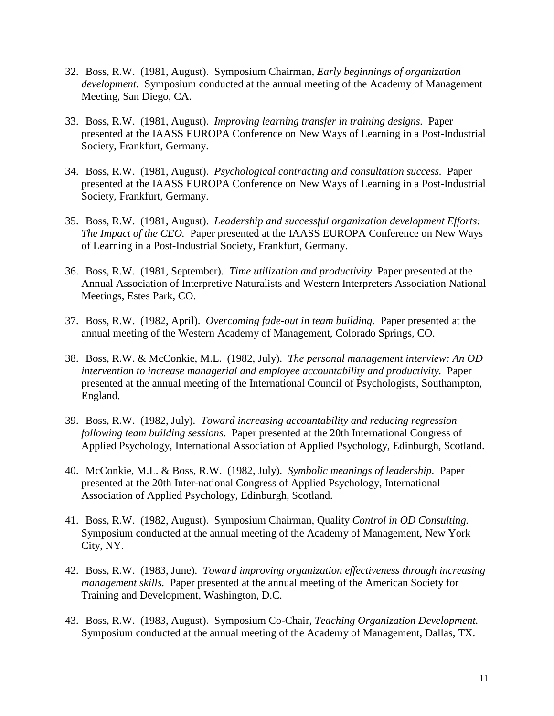- 32. Boss, R.W. (1981, August). Symposium Chairman, *Early beginnings of organization development*. Symposium conducted at the annual meeting of the Academy of Management Meeting, San Diego, CA.
- 33. Boss, R.W. (1981, August). *Improving learning transfer in training designs.* Paper presented at the IAASS EUROPA Conference on New Ways of Learning in a Post-Industrial Society, Frankfurt, Germany.
- 34. Boss, R.W. (1981, August). *Psychological contracting and consultation success.* Paper presented at the IAASS EUROPA Conference on New Ways of Learning in a Post-Industrial Society, Frankfurt, Germany.
- 35. Boss, R.W. (1981, August). *Leadership and successful organization development Efforts: The Impact of the CEO.* Paper presented at the IAASS EUROPA Conference on New Ways of Learning in a Post-Industrial Society, Frankfurt, Germany.
- 36. Boss, R.W. (1981, September). *Time utilization and productivity.* Paper presented at the Annual Association of Interpretive Naturalists and Western Interpreters Association National Meetings, Estes Park, CO.
- 37. Boss, R.W. (1982, April). *Overcoming fade-out in team building.* Paper presented at the annual meeting of the Western Academy of Management, Colorado Springs, CO.
- 38. Boss, R.W. & McConkie, M.L. (1982, July). *The personal management interview: An OD intervention to increase managerial and employee accountability and productivity.* Paper presented at the annual meeting of the International Council of Psychologists, Southampton, England.
- 39. Boss, R.W. (1982, July). *Toward increasing accountability and reducing regression following team building sessions.* Paper presented at the 20th International Congress of Applied Psychology, International Association of Applied Psychology, Edinburgh, Scotland.
- 40. McConkie, M.L. & Boss, R.W. (1982, July). *Symbolic meanings of leadership.* Paper presented at the 20th Inter-national Congress of Applied Psychology, International Association of Applied Psychology, Edinburgh, Scotland.
- 41. Boss, R.W. (1982, August). Symposium Chairman, Quality *Control in OD Consulting.* Symposium conducted at the annual meeting of the Academy of Management, New York City, NY.
- 42. Boss, R.W. (1983, June). *Toward improving organization effectiveness through increasing management skills.* Paper presented at the annual meeting of the American Society for Training and Development, Washington, D.C.
- 43. Boss, R.W. (1983, August). Symposium Co-Chair, *Teaching Organization Development.* Symposium conducted at the annual meeting of the Academy of Management, Dallas, TX.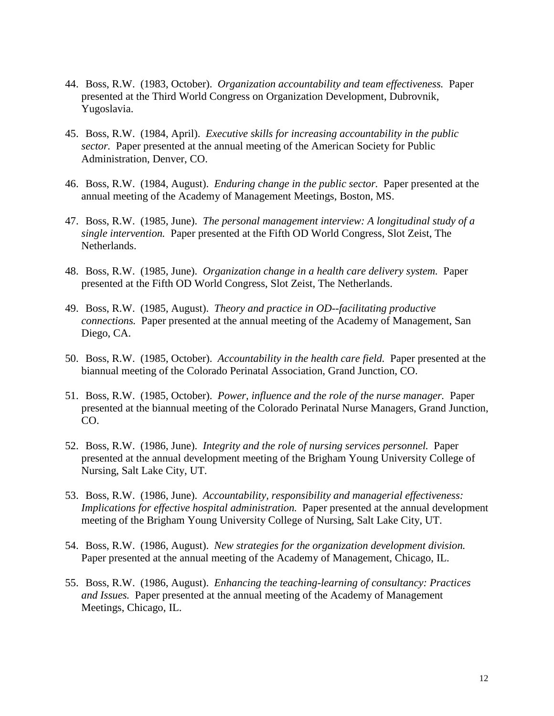- 44. Boss, R.W. (1983, October). *Organization accountability and team effectiveness.* Paper presented at the Third World Congress on Organization Development, Dubrovnik, Yugoslavia.
- 45. Boss, R.W. (1984, April). *Executive skills for increasing accountability in the public sector.* Paper presented at the annual meeting of the American Society for Public Administration, Denver, CO.
- 46. Boss, R.W. (1984, August). *Enduring change in the public sector.* Paper presented at the annual meeting of the Academy of Management Meetings, Boston, MS.
- 47. Boss, R.W. (1985, June). *The personal management interview: A longitudinal study of a single intervention.* Paper presented at the Fifth OD World Congress, Slot Zeist, The Netherlands.
- 48. Boss, R.W. (1985, June). *Organization change in a health care delivery system.* Paper presented at the Fifth OD World Congress, Slot Zeist, The Netherlands.
- 49. Boss, R.W. (1985, August). *Theory and practice in OD--facilitating productive connections.* Paper presented at the annual meeting of the Academy of Management, San Diego, CA.
- 50. Boss, R.W. (1985, October). *Accountability in the health care field.* Paper presented at the biannual meeting of the Colorado Perinatal Association, Grand Junction, CO.
- 51. Boss, R.W. (1985, October). *Power, influence and the role of the nurse manager.* Paper presented at the biannual meeting of the Colorado Perinatal Nurse Managers, Grand Junction, CO.
- 52. Boss, R.W. (1986, June). *Integrity and the role of nursing services personnel.* Paper presented at the annual development meeting of the Brigham Young University College of Nursing, Salt Lake City, UT.
- 53. Boss, R.W. (1986, June). *Accountability, responsibility and managerial effectiveness: Implications for effective hospital administration.* Paper presented at the annual development meeting of the Brigham Young University College of Nursing, Salt Lake City, UT.
- 54. Boss, R.W. (1986, August). *New strategies for the organization development division.* Paper presented at the annual meeting of the Academy of Management, Chicago, IL.
- 55. Boss, R.W. (1986, August). *Enhancing the teaching-learning of consultancy: Practices and Issues.* Paper presented at the annual meeting of the Academy of Management Meetings, Chicago, IL.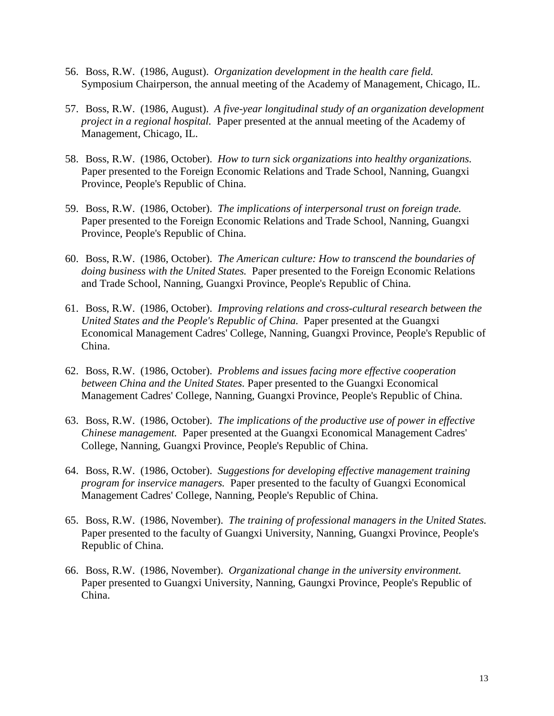- 56. Boss, R.W. (1986, August). *Organization development in the health care field.* Symposium Chairperson, the annual meeting of the Academy of Management, Chicago, IL.
- 57. Boss, R.W. (1986, August). *A five-year longitudinal study of an organization development project in a regional hospital.* Paper presented at the annual meeting of the Academy of Management, Chicago, IL.
- 58. Boss, R.W. (1986, October). *How to turn sick organizations into healthy organizations.* Paper presented to the Foreign Economic Relations and Trade School, Nanning, Guangxi Province, People's Republic of China.
- 59. Boss, R.W. (1986, October). *The implications of interpersonal trust on foreign trade.* Paper presented to the Foreign Economic Relations and Trade School, Nanning, Guangxi Province, People's Republic of China.
- 60. Boss, R.W. (1986, October). *The American culture: How to transcend the boundaries of doing business with the United States.* Paper presented to the Foreign Economic Relations and Trade School, Nanning, Guangxi Province, People's Republic of China.
- 61. Boss, R.W. (1986, October). *Improving relations and cross-cultural research between the United States and the People's Republic of China.* Paper presented at the Guangxi Economical Management Cadres' College, Nanning, Guangxi Province, People's Republic of China.
- 62. Boss, R.W. (1986, October). *Problems and issues facing more effective cooperation between China and the United States.* Paper presented to the Guangxi Economical Management Cadres' College, Nanning, Guangxi Province, People's Republic of China.
- 63. Boss, R.W. (1986, October). *The implications of the productive use of power in effective Chinese management.* Paper presented at the Guangxi Economical Management Cadres' College, Nanning, Guangxi Province, People's Republic of China.
- 64. Boss, R.W. (1986, October). *Suggestions for developing effective management training program for inservice managers.* Paper presented to the faculty of Guangxi Economical Management Cadres' College, Nanning, People's Republic of China.
- 65. Boss, R.W. (1986, November). *The training of professional managers in the United States.* Paper presented to the faculty of Guangxi University, Nanning, Guangxi Province, People's Republic of China.
- 66. Boss, R.W. (1986, November). *Organizational change in the university environment.* Paper presented to Guangxi University, Nanning, Gaungxi Province, People's Republic of China.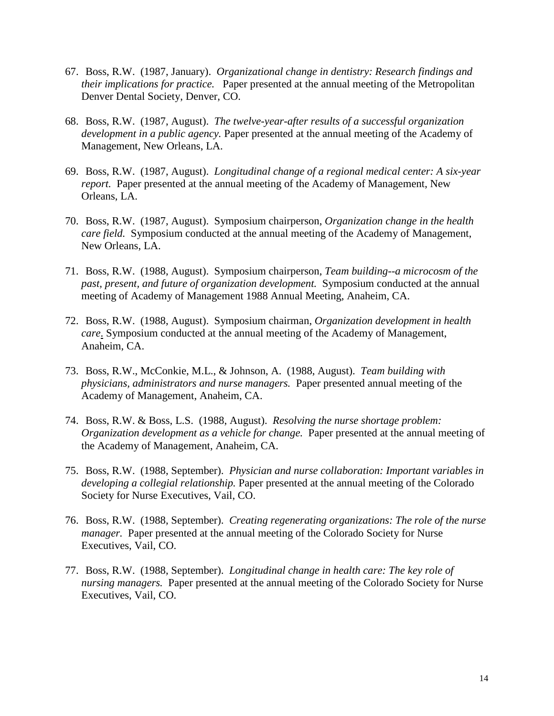- 67. Boss, R.W. (1987, January). *Organizational change in dentistry: Research findings and their implications for practice.* Paper presented at the annual meeting of the Metropolitan Denver Dental Society, Denver, CO.
- 68. Boss, R.W. (1987, August). *The twelve-year-after results of a successful organization development in a public agency.* Paper presented at the annual meeting of the Academy of Management, New Orleans, LA.
- 69. Boss, R.W. (1987, August). *Longitudinal change of a regional medical center: A six-year report.* Paper presented at the annual meeting of the Academy of Management, New Orleans, LA.
- 70. Boss, R.W. (1987, August). Symposium chairperson, *Organization change in the health care field.* Symposium conducted at the annual meeting of the Academy of Management, New Orleans, LA.
- 71. Boss, R.W. (1988, August). Symposium chairperson, *Team building--a microcosm of the past, present, and future of organization development.* Symposium conducted at the annual meeting of Academy of Management 1988 Annual Meeting, Anaheim, CA.
- 72. Boss, R.W. (1988, August). Symposium chairman, *Organization development in health care*. Symposium conducted at the annual meeting of the Academy of Management, Anaheim, CA.
- 73. Boss, R.W., McConkie, M.L., & Johnson, A. (1988, August). *Team building with physicians, administrators and nurse managers.* Paper presented annual meeting of the Academy of Management, Anaheim, CA.
- 74. Boss, R.W. & Boss, L.S. (1988, August). *Resolving the nurse shortage problem: Organization development as a vehicle for change.* Paper presented at the annual meeting of the Academy of Management, Anaheim, CA.
- 75. Boss, R.W. (1988, September). *Physician and nurse collaboration: Important variables in developing a collegial relationship.* Paper presented at the annual meeting of the Colorado Society for Nurse Executives, Vail, CO.
- 76. Boss, R.W. (1988, September). *Creating regenerating organizations: The role of the nurse manager.* Paper presented at the annual meeting of the Colorado Society for Nurse Executives, Vail, CO.
- 77. Boss, R.W. (1988, September). *Longitudinal change in health care: The key role of nursing managers.* Paper presented at the annual meeting of the Colorado Society for Nurse Executives, Vail, CO.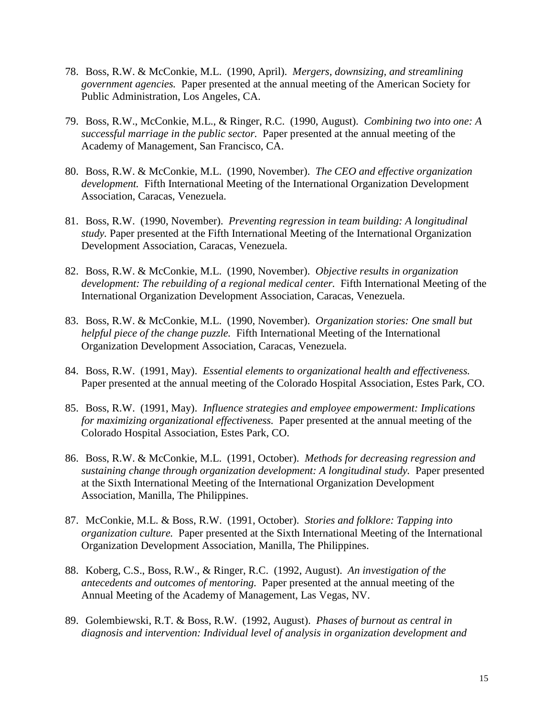- 78. Boss, R.W. & McConkie, M.L. (1990, April). *Mergers, downsizing, and streamlining government agencies.* Paper presented at the annual meeting of the American Society for Public Administration, Los Angeles, CA.
- 79. Boss, R.W., McConkie, M.L., & Ringer, R.C. (1990, August). *Combining two into one: A successful marriage in the public sector.* Paper presented at the annual meeting of the Academy of Management, San Francisco, CA.
- 80. Boss, R.W. & McConkie, M.L. (1990, November). *The CEO and effective organization development.* Fifth International Meeting of the International Organization Development Association, Caracas, Venezuela.
- 81. Boss, R.W. (1990, November). *Preventing regression in team building: A longitudinal study.* Paper presented at the Fifth International Meeting of the International Organization Development Association, Caracas, Venezuela.
- 82. Boss, R.W. & McConkie, M.L. (1990, November). *Objective results in organization development: The rebuilding of a regional medical center.* Fifth International Meeting of the International Organization Development Association, Caracas, Venezuela.
- 83. Boss, R.W. & McConkie, M.L. (1990, November). *Organization stories: One small but helpful piece of the change puzzle.* Fifth International Meeting of the International Organization Development Association, Caracas, Venezuela.
- 84. Boss, R.W. (1991, May). *Essential elements to organizational health and effectiveness.* Paper presented at the annual meeting of the Colorado Hospital Association, Estes Park, CO.
- 85. Boss, R.W. (1991, May). *Influence strategies and employee empowerment: Implications for maximizing organizational effectiveness.* Paper presented at the annual meeting of the Colorado Hospital Association, Estes Park, CO.
- 86. Boss, R.W. & McConkie, M.L. (1991, October). *Methods for decreasing regression and sustaining change through organization development: A longitudinal study.* Paper presented at the Sixth International Meeting of the International Organization Development Association, Manilla, The Philippines.
- 87. McConkie, M.L. & Boss, R.W. (1991, October). *Stories and folklore: Tapping into organization culture.* Paper presented at the Sixth International Meeting of the International Organization Development Association, Manilla, The Philippines.
- 88. Koberg, C.S., Boss, R.W., & Ringer, R.C. (1992, August). *An investigation of the antecedents and outcomes of mentoring.* Paper presented at the annual meeting of the Annual Meeting of the Academy of Management, Las Vegas, NV.
- 89. Golembiewski, R.T. & Boss, R.W. (1992, August). *Phases of burnout as central in diagnosis and intervention: Individual level of analysis in organization development and*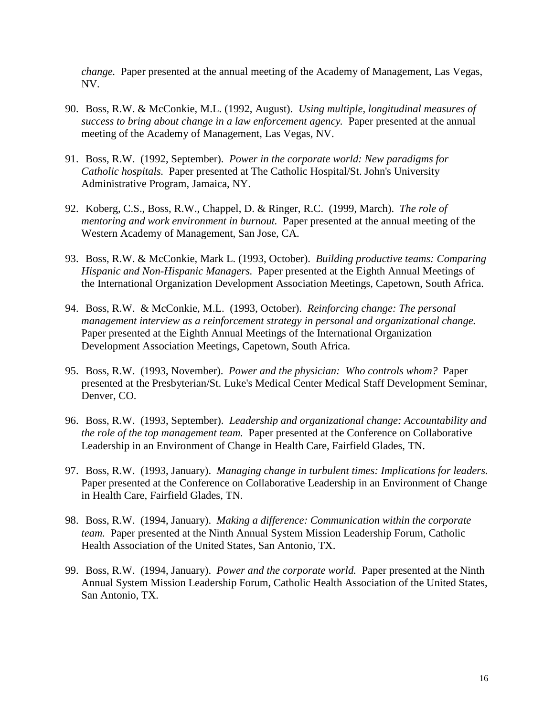*change.* Paper presented at the annual meeting of the Academy of Management, Las Vegas, NV.

- 90. Boss, R.W. & McConkie, M.L. (1992, August). *Using multiple, longitudinal measures of success to bring about change in a law enforcement agency.* Paper presented at the annual meeting of the Academy of Management, Las Vegas, NV.
- 91. Boss, R.W. (1992, September). *Power in the corporate world: New paradigms for Catholic hospitals.* Paper presented at The Catholic Hospital/St. John's University Administrative Program, Jamaica, NY.
- 92. Koberg, C.S., Boss, R.W., Chappel, D. & Ringer, R.C. (1999, March). *The role of mentoring and work environment in burnout.* Paper presented at the annual meeting of the Western Academy of Management, San Jose, CA.
- 93. Boss, R.W. & McConkie, Mark L. (1993, October). *Building productive teams: Comparing Hispanic and Non-Hispanic Managers.* Paper presented at the Eighth Annual Meetings of the International Organization Development Association Meetings, Capetown, South Africa.
- 94. Boss, R.W. & McConkie, M.L. (1993, October). *Reinforcing change: The personal management interview as a reinforcement strategy in personal and organizational change.* Paper presented at the Eighth Annual Meetings of the International Organization Development Association Meetings, Capetown, South Africa.
- 95. Boss, R.W. (1993, November). *Power and the physician: Who controls whom?* Paper presented at the Presbyterian/St. Luke's Medical Center Medical Staff Development Seminar, Denver, CO.
- 96. Boss, R.W. (1993, September). *Leadership and organizational change: Accountability and the role of the top management team.* Paper presented at the Conference on Collaborative Leadership in an Environment of Change in Health Care, Fairfield Glades, TN.
- 97. Boss, R.W. (1993, January). *Managing change in turbulent times: Implications for leaders.* Paper presented at the Conference on Collaborative Leadership in an Environment of Change in Health Care, Fairfield Glades, TN.
- 98. Boss, R.W. (1994, January). *Making a difference: Communication within the corporate team.* Paper presented at the Ninth Annual System Mission Leadership Forum, Catholic Health Association of the United States, San Antonio, TX.
- 99. Boss, R.W. (1994, January). *Power and the corporate world.* Paper presented at the Ninth Annual System Mission Leadership Forum, Catholic Health Association of the United States, San Antonio, TX.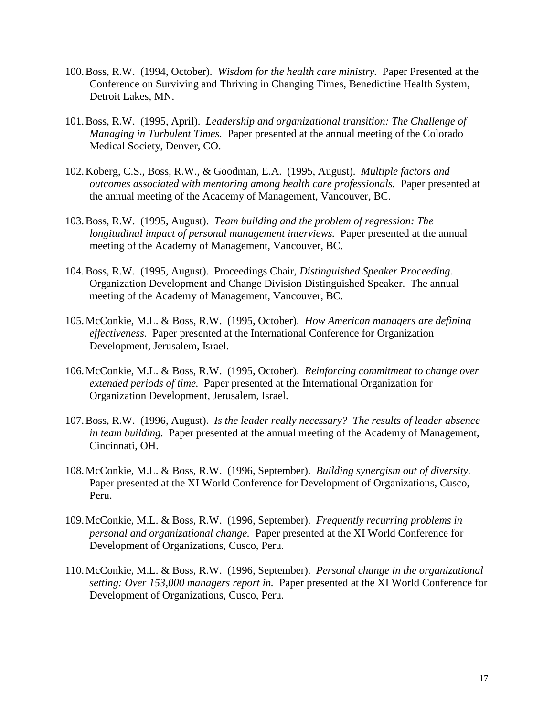- 100.Boss, R.W. (1994, October). *Wisdom for the health care ministry.* Paper Presented at the Conference on Surviving and Thriving in Changing Times, Benedictine Health System, Detroit Lakes, MN.
- 101.Boss, R.W. (1995, April). *Leadership and organizational transition: The Challenge of Managing in Turbulent Times.* Paper presented at the annual meeting of the Colorado Medical Society, Denver, CO.
- 102.Koberg, C.S., Boss, R.W., & Goodman, E.A. (1995, August). *Multiple factors and outcomes associated with mentoring among health care professionals.* Paper presented at the annual meeting of the Academy of Management, Vancouver, BC.
- 103.Boss, R.W. (1995, August). *Team building and the problem of regression: The longitudinal impact of personal management interviews.* Paper presented at the annual meeting of the Academy of Management, Vancouver, BC.
- 104.Boss, R.W. (1995, August). Proceedings Chair, *Distinguished Speaker Proceeding.* Organization Development and Change Division Distinguished Speaker. The annual meeting of the Academy of Management, Vancouver, BC.
- 105.McConkie, M.L. & Boss, R.W. (1995, October). *How American managers are defining effectiveness.* Paper presented at the International Conference for Organization Development, Jerusalem, Israel.
- 106.McConkie, M.L. & Boss, R.W. (1995, October). *Reinforcing commitment to change over extended periods of time.* Paper presented at the International Organization for Organization Development, Jerusalem, Israel.
- 107.Boss, R.W. (1996, August). *Is the leader really necessary? The results of leader absence in team building.* Paper presented at the annual meeting of the Academy of Management, Cincinnati, OH.
- 108.McConkie, M.L. & Boss, R.W. (1996, September). *Building synergism out of diversity.* Paper presented at the XI World Conference for Development of Organizations, Cusco, Peru.
- 109.McConkie, M.L. & Boss, R.W. (1996, September). *Frequently recurring problems in personal and organizational change.* Paper presented at the XI World Conference for Development of Organizations, Cusco, Peru.
- 110.McConkie, M.L. & Boss, R.W. (1996, September). *Personal change in the organizational setting: Over 153,000 managers report in.* Paper presented at the XI World Conference for Development of Organizations, Cusco, Peru.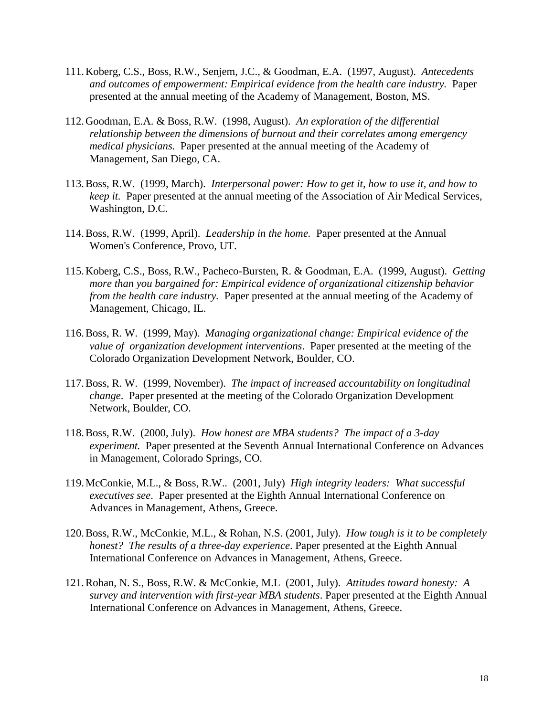- 111.Koberg, C.S., Boss, R.W., Senjem, J.C., & Goodman, E.A. (1997, August). *Antecedents and outcomes of empowerment: Empirical evidence from the health care industry.* Paper presented at the annual meeting of the Academy of Management, Boston, MS.
- 112.Goodman, E.A. & Boss, R.W. (1998, August). *An exploration of the differential relationship between the dimensions of burnout and their correlates among emergency medical physicians.* Paper presented at the annual meeting of the Academy of Management, San Diego, CA.
- 113.Boss, R.W. (1999, March). *Interpersonal power: How to get it, how to use it, and how to keep it.* Paper presented at the annual meeting of the Association of Air Medical Services, Washington, D.C.
- 114.Boss, R.W. (1999, April). *Leadership in the home.* Paper presented at the Annual Women's Conference, Provo, UT.
- 115.Koberg, C.S., Boss, R.W., Pacheco-Bursten, R. & Goodman, E.A. (1999, August). *Getting more than you bargained for: Empirical evidence of organizational citizenship behavior from the health care industry.* Paper presented at the annual meeting of the Academy of Management, Chicago, IL.
- 116.Boss, R. W. (1999, May). *Managing organizational change: Empirical evidence of the value of organization development interventions*. Paper presented at the meeting of the Colorado Organization Development Network, Boulder, CO.
- 117.Boss, R. W. (1999, November). *The impact of increased accountability on longitudinal change*. Paper presented at the meeting of the Colorado Organization Development Network, Boulder, CO.
- 118.Boss, R.W. (2000, July). *How honest are MBA students? The impact of a 3-day experiment.* Paper presented at the Seventh Annual International Conference on Advances in Management, Colorado Springs, CO.
- 119.McConkie, M.L., & Boss, R.W.. (2001, July) *High integrity leaders: What successful executives see*. Paper presented at the Eighth Annual International Conference on Advances in Management, Athens, Greece.
- 120.Boss, R.W., McConkie, M.L., & Rohan, N.S. (2001, July). *How tough is it to be completely honest? The results of a three-day experience*. Paper presented at the Eighth Annual International Conference on Advances in Management, Athens, Greece.
- 121.Rohan, N. S., Boss, R.W. & McConkie, M.L (2001, July). *Attitudes toward honesty: A survey and intervention with first-year MBA students*. Paper presented at the Eighth Annual International Conference on Advances in Management, Athens, Greece.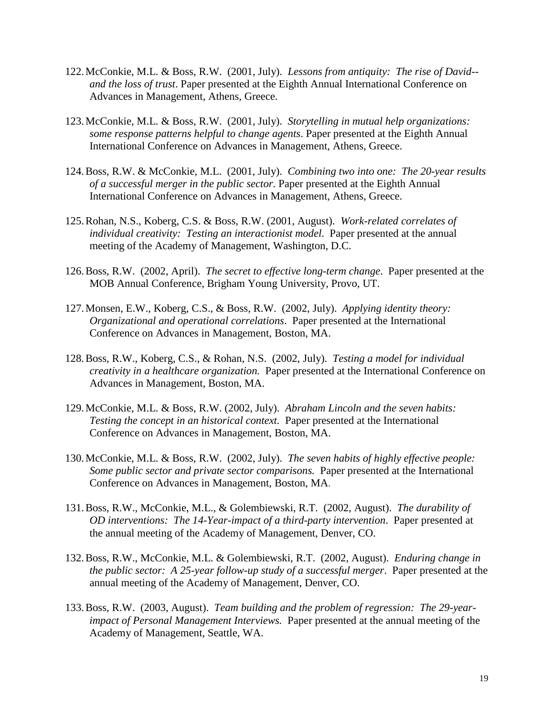- 122.McConkie, M.L. & Boss, R.W. (2001, July). *Lessons from antiquity: The rise of David- and the loss of trust*. Paper presented at the Eighth Annual International Conference on Advances in Management, Athens, Greece.
- 123.McConkie, M.L. & Boss, R.W. (2001, July). *Storytelling in mutual help organizations: some response patterns helpful to change agents*. Paper presented at the Eighth Annual International Conference on Advances in Management, Athens, Greece.
- 124.Boss, R.W. & McConkie, M.L. (2001, July). *Combining two into one: The 20-year results of a successful merger in the public sector.* Paper presented at the Eighth Annual International Conference on Advances in Management, Athens, Greece.
- 125.Rohan, N.S., Koberg, C.S. & Boss, R.W. (2001, August). *Work-related correlates of individual creativity: Testing an interactionist model.* Paper presented at the annual meeting of the Academy of Management, Washington, D.C.
- 126.Boss, R.W. (2002, April). *The secret to effective long-term change*. Paper presented at the MOB Annual Conference, Brigham Young University, Provo, UT.
- 127.Monsen, E.W., Koberg, C.S., & Boss, R.W. (2002, July). *Applying identity theory: Organizational and operational correlations*. Paper presented at the International Conference on Advances in Management, Boston, MA.
- 128.Boss, R.W., Koberg, C.S., & Rohan, N.S. (2002, July). *Testing a model for individual creativity in a healthcare organization.* Paper presented at the International Conference on Advances in Management, Boston, MA.
- 129.McConkie, M.L. & Boss, R.W. (2002, July). *Abraham Lincoln and the seven habits: Testing the concept in an historical context.* Paper presented at the International Conference on Advances in Management, Boston, MA.
- 130.McConkie, M.L. & Boss, R.W. (2002, July). *The seven habits of highly effective people: Some public sector and private sector comparisons.* Paper presented at the International Conference on Advances in Management, Boston, MA.
- 131.Boss, R.W., McConkie, M.L., & Golembiewski, R.T. (2002, August). *The durability of OD interventions: The 14-Year-impact of a third-party intervention*. Paper presented at the annual meeting of the Academy of Management, Denver, CO.
- 132.Boss, R.W., McConkie, M.L. & Golembiewski, R.T. (2002, August). *Enduring change in the public sector: A 25-year follow-up study of a successful merger*. Paper presented at the annual meeting of the Academy of Management, Denver, CO.
- 133.Boss, R.W. (2003, August). *Team building and the problem of regression: The 29-yearimpact of Personal Management Interviews.* Paper presented at the annual meeting of the Academy of Management, Seattle, WA.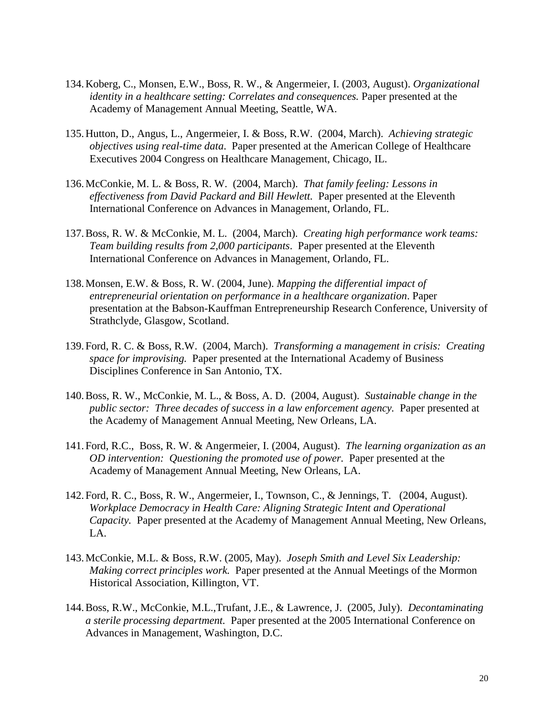- 134.Koberg, C., Monsen, E.W., Boss, R. W., & Angermeier, I. (2003, August). *Organizational identity in a healthcare setting: Correlates and consequences.* Paper presented at the Academy of Management Annual Meeting, Seattle, WA.
- 135.Hutton, D., Angus, L., Angermeier, I. & Boss, R.W. (2004, March). *Achieving strategic objectives using real-time data*. Paper presented at the American College of Healthcare Executives 2004 Congress on Healthcare Management, Chicago, IL.
- 136.McConkie, M. L. & Boss, R. W. (2004, March). *That family feeling: Lessons in effectiveness from David Packard and Bill Hewlett.* Paper presented at the Eleventh International Conference on Advances in Management, Orlando, FL.
- 137.Boss, R. W. & McConkie, M. L. (2004, March). *Creating high performance work teams: Team building results from 2,000 participants*. Paper presented at the Eleventh International Conference on Advances in Management, Orlando, FL.
- 138.Monsen, E.W. & Boss, R. W. (2004, June). *Mapping the differential impact of entrepreneurial orientation on performance in a healthcare organization*. Paper presentation at the Babson-Kauffman Entrepreneurship Research Conference, University of Strathclyde, Glasgow, Scotland.
- 139.Ford, R. C. & Boss, R.W. (2004, March). *Transforming a management in crisis: Creating space for improvising.* Paper presented at the International Academy of Business Disciplines Conference in San Antonio, TX.
- 140.Boss, R. W., McConkie, M. L., & Boss, A. D. (2004, August). *Sustainable change in the public sector: Three decades of success in a law enforcement agency.* Paper presented at the Academy of Management Annual Meeting, New Orleans, LA.
- 141.Ford, R.C., Boss, R. W. & Angermeier, I. (2004, August). *The learning organization as an OD intervention: Questioning the promoted use of power.* Paper presented at the Academy of Management Annual Meeting, New Orleans, LA.
- 142.Ford, R. C., Boss, R. W., Angermeier, I., Townson, C., & Jennings, T. (2004, August). *Workplace Democracy in Health Care: Aligning Strategic Intent and Operational Capacity.* Paper presented at the Academy of Management Annual Meeting, New Orleans, LA.
- 143.McConkie, M.L. & Boss, R.W. (2005, May). *Joseph Smith and Level Six Leadership: Making correct principles work.* Paper presented at the Annual Meetings of the Mormon Historical Association, Killington, VT.
- 144.Boss, R.W., McConkie, M.L.,Trufant, J.E., & Lawrence, J. (2005, July). *Decontaminating a sterile processing department.* Paper presented at the 2005 International Conference on Advances in Management, Washington, D.C.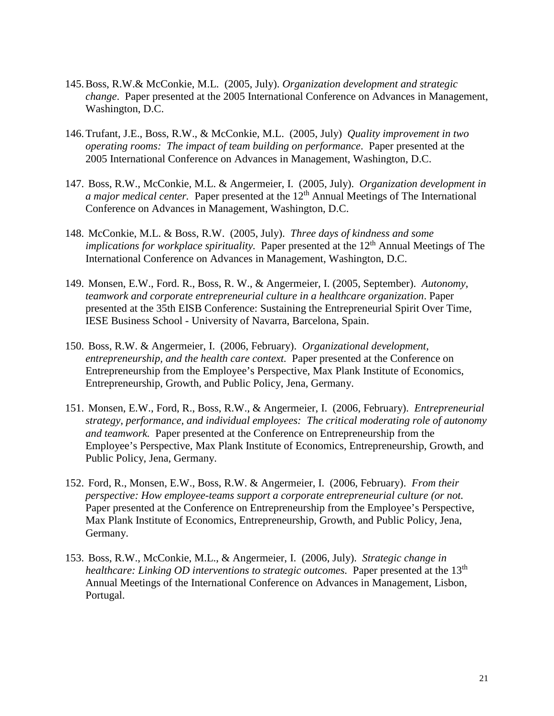- 145.Boss, R.W.& McConkie, M.L. (2005, July). *Organization development and strategic change*. Paper presented at the 2005 International Conference on Advances in Management, Washington, D.C.
- 146.Trufant, J.E., Boss, R.W., & McConkie, M.L. (2005, July) *Quality improvement in two operating rooms: The impact of team building on performance*. Paper presented at the 2005 International Conference on Advances in Management, Washington, D.C.
- 147. Boss, R.W., McConkie, M.L. & Angermeier, I. (2005, July). *Organization development in a major medical center.* Paper presented at the 12<sup>th</sup> Annual Meetings of The International Conference on Advances in Management, Washington, D.C.
- 148. McConkie, M.L. & Boss, R.W. (2005, July). *Three days of kindness and some implications for workplace spirituality.* Paper presented at the 12<sup>th</sup> Annual Meetings of The International Conference on Advances in Management, Washington, D.C.
- 149. Monsen, E.W., Ford. R., Boss, R. W., & Angermeier, I. (2005, September). *Autonomy, teamwork and corporate entrepreneurial culture in a healthcare organization*. Paper presented at the 35th EISB Conference: Sustaining the Entrepreneurial Spirit Over Time, IESE Business School - University of Navarra, Barcelona, Spain.
- 150. Boss, R.W. & Angermeier, I. (2006, February). *Organizational development, entrepreneurship, and the health care context.* Paper presented at the Conference on Entrepreneurship from the Employee's Perspective, Max Plank Institute of Economics, Entrepreneurship, Growth, and Public Policy, Jena, Germany.
- 151. Monsen, E.W., Ford, R., Boss, R.W., & Angermeier, I. (2006, February). *Entrepreneurial strategy, performance, and individual employees: The critical moderating role of autonomy and teamwork.* Paper presented at the Conference on Entrepreneurship from the Employee's Perspective, Max Plank Institute of Economics, Entrepreneurship, Growth, and Public Policy, Jena, Germany.
- 152. Ford, R., Monsen, E.W., Boss, R.W. & Angermeier, I. (2006, February). *From their perspective: How employee-teams support a corporate entrepreneurial culture (or not.*  Paper presented at the Conference on Entrepreneurship from the Employee's Perspective, Max Plank Institute of Economics, Entrepreneurship, Growth, and Public Policy, Jena, Germany.
- 153. Boss, R.W., McConkie, M.L., & Angermeier, I. (2006, July). *Strategic change in healthcare: Linking OD interventions to strategic outcomes.* Paper presented at the 13<sup>th</sup> Annual Meetings of the International Conference on Advances in Management, Lisbon, Portugal.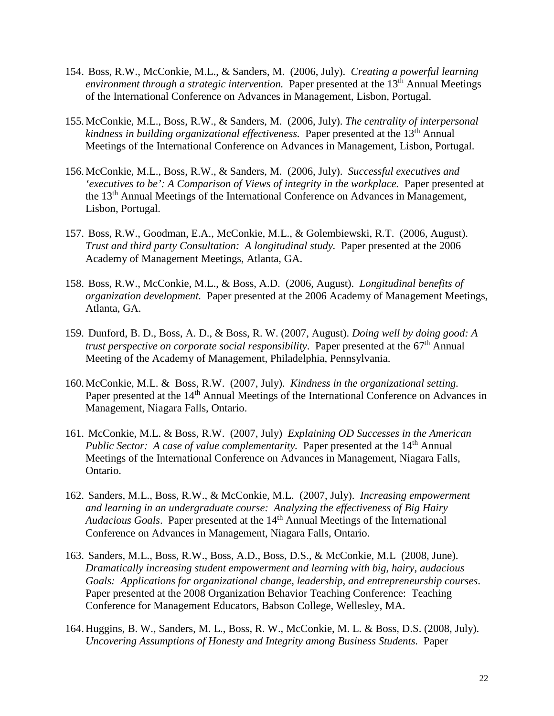- 154. Boss, R.W., McConkie, M.L., & Sanders, M. (2006, July). *Creating a powerful learning environment through a strategic intervention.* Paper presented at the 13<sup>th</sup> Annual Meetings of the International Conference on Advances in Management, Lisbon, Portugal.
- 155.McConkie, M.L., Boss, R.W., & Sanders, M. (2006, July). *The centrality of interpersonal kindness in building organizational effectiveness.* Paper presented at the 13th Annual Meetings of the International Conference on Advances in Management, Lisbon, Portugal.
- 156.McConkie, M.L., Boss, R.W., & Sanders, M. (2006, July). *Successful executives and 'executives to be': A Comparison of Views of integrity in the workplace.* Paper presented at the 13th Annual Meetings of the International Conference on Advances in Management, Lisbon, Portugal.
- 157. Boss, R.W., Goodman, E.A., McConkie, M.L., & Golembiewski, R.T. (2006, August). *Trust and third party Consultation: A longitudinal study.* Paper presented at the 2006 Academy of Management Meetings, Atlanta, GA.
- 158. Boss, R.W., McConkie, M.L., & Boss, A.D. (2006, August). *Longitudinal benefits of organization development.* Paper presented at the 2006 Academy of Management Meetings, Atlanta, GA.
- 159. Dunford, B. D., Boss, A. D., & Boss, R. W. (2007, August). *Doing well by doing good: A trust perspective on corporate social responsibility.* Paper presented at the 67<sup>th</sup> Annual Meeting of the Academy of Management, Philadelphia, Pennsylvania.
- 160.McConkie, M.L. & Boss, R.W. (2007, July). *Kindness in the organizational setting.* Paper presented at the 14<sup>th</sup> Annual Meetings of the International Conference on Advances in Management, Niagara Falls, Ontario.
- 161. McConkie, M.L. & Boss, R.W. (2007, July) *Explaining OD Successes in the American Public Sector: A case of value complementarity.* Paper presented at the 14<sup>th</sup> Annual Meetings of the International Conference on Advances in Management, Niagara Falls, Ontario.
- 162. Sanders, M.L., Boss, R.W., & McConkie, M.L. (2007, July). *Increasing empowerment and learning in an undergraduate course: Analyzing the effectiveness of Big Hairy Audacious Goals*. Paper presented at the 14th Annual Meetings of the International Conference on Advances in Management, Niagara Falls, Ontario.
- 163. Sanders, M.L., Boss, R.W., Boss, A.D., Boss, D.S., & McConkie, M.L (2008, June). *Dramatically increasing student empowerment and learning with big, hairy, audacious Goals: Applications for organizational change, leadership, and entrepreneurship courses*. Paper presented at the 2008 Organization Behavior Teaching Conference: Teaching Conference for Management Educators, Babson College, Wellesley, MA.
- 164.Huggins, B. W., Sanders, M. L., Boss, R. W., McConkie, M. L. & Boss, D.S. (2008, July). *Uncovering Assumptions of Honesty and Integrity among Business Students.* Paper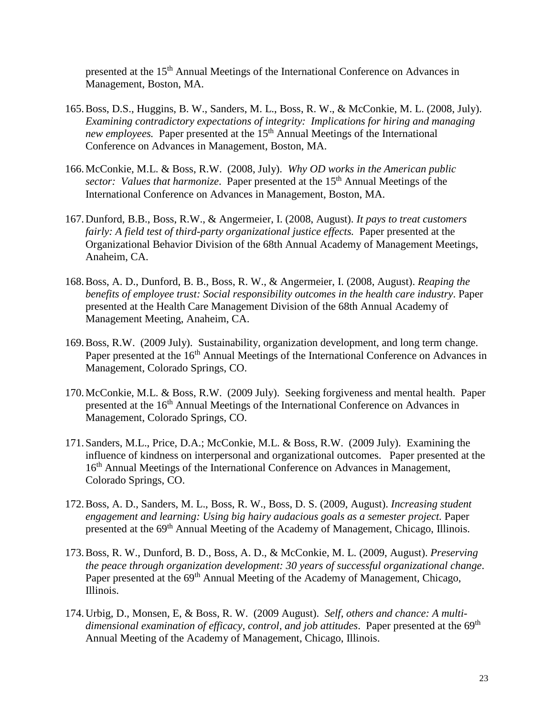presented at the 15<sup>th</sup> Annual Meetings of the International Conference on Advances in Management, Boston, MA.

- 165.Boss, D.S., Huggins, B. W., Sanders, M. L., Boss, R. W., & McConkie, M. L. (2008, July). *Examining contradictory expectations of integrity: Implications for hiring and managing new employees.* Paper presented at the 15<sup>th</sup> Annual Meetings of the International Conference on Advances in Management, Boston, MA.
- 166.McConkie, M.L. & Boss, R.W. (2008, July). *Why OD works in the American public*  sector: Values that harmonize. Paper presented at the 15<sup>th</sup> Annual Meetings of the International Conference on Advances in Management, Boston, MA.
- 167.Dunford, B.B., Boss, R.W., & Angermeier, I. (2008, August). *It pays to treat customers fairly: A field test of third-party organizational justice effects.* Paper presented at the Organizational Behavior Division of the 68th Annual Academy of Management Meetings, Anaheim, CA.
- 168.Boss, A. D., Dunford, B. B., Boss, R. W., & Angermeier, I. (2008, August). *Reaping the benefits of employee trust: Social responsibility outcomes in the health care industry*. Paper presented at the Health Care Management Division of the 68th Annual Academy of Management Meeting, Anaheim, CA.
- 169.Boss, R.W. (2009 July). Sustainability, organization development, and long term change. Paper presented at the 16<sup>th</sup> Annual Meetings of the International Conference on Advances in Management, Colorado Springs, CO.
- 170.McConkie, M.L. & Boss, R.W. (2009 July). Seeking forgiveness and mental health. Paper presented at the 16<sup>th</sup> Annual Meetings of the International Conference on Advances in Management, Colorado Springs, CO.
- 171.Sanders, M.L., Price, D.A.; McConkie, M.L. & Boss, R.W. (2009 July). Examining the influence of kindness on interpersonal and organizational outcomes. Paper presented at the 16<sup>th</sup> Annual Meetings of the International Conference on Advances in Management, Colorado Springs, CO.
- 172.Boss, A. D., Sanders, M. L., Boss, R. W., Boss, D. S. (2009, August). *Increasing student engagement and learning: Using big hairy audacious goals as a semester project.* Paper presented at the 69<sup>th</sup> Annual Meeting of the Academy of Management, Chicago, Illinois.
- 173.Boss, R. W., Dunford, B. D., Boss, A. D., & McConkie, M. L. (2009, August). *Preserving the peace through organization development: 30 years of successful organizational change*. Paper presented at the 69<sup>th</sup> Annual Meeting of the Academy of Management, Chicago, Illinois.
- 174.Urbig, D., Monsen, E, & Boss, R. W. (2009 August). *Self, others and chance: A multi*dimensional examination of efficacy, control, and job attitudes. Paper presented at the 69<sup>th</sup> Annual Meeting of the Academy of Management, Chicago, Illinois.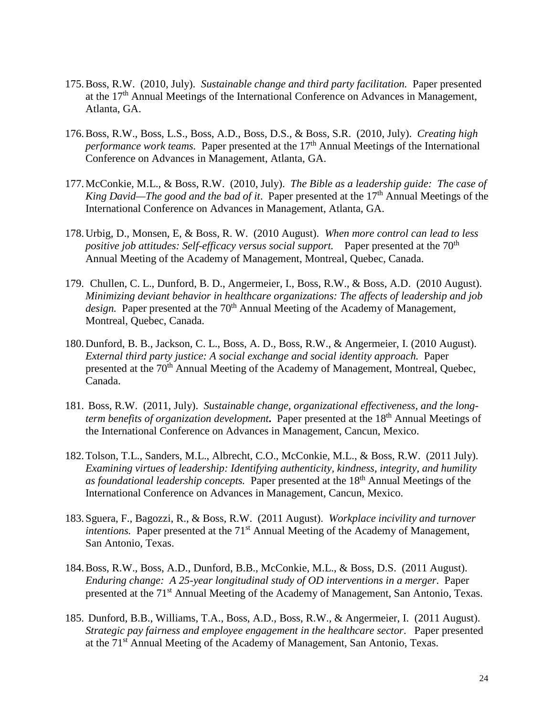- 175.Boss, R.W. (2010, July). *Sustainable change and third party facilitation.* Paper presented at the 17th Annual Meetings of the International Conference on Advances in Management, Atlanta, GA.
- 176.Boss, R.W., Boss, L.S., Boss, A.D., Boss, D.S., & Boss, S.R. (2010, July). *Creating high performance work teams.* Paper presented at the 17<sup>th</sup> Annual Meetings of the International Conference on Advances in Management, Atlanta, GA.
- 177.McConkie, M.L., & Boss, R.W. (2010, July). *The Bible as a leadership guide: The case of King David—The good and the bad of it.* Paper presented at the 17<sup>th</sup> Annual Meetings of the International Conference on Advances in Management, Atlanta, GA.
- 178.Urbig, D., Monsen, E, & Boss, R. W. (2010 August). *When more control can lead to less positive job attitudes: Self-efficacy versus social support.* Paper presented at the 70<sup>th</sup> Annual Meeting of the Academy of Management, Montreal, Quebec, Canada.
- 179. Chullen, C. L., Dunford, B. D., Angermeier, I., Boss, R.W., & Boss, A.D. (2010 August). *Minimizing deviant behavior in healthcare organizations: The affects of leadership and job design.* Paper presented at the 70<sup>th</sup> Annual Meeting of the Academy of Management, Montreal, Quebec, Canada.
- 180.Dunford, B. B., Jackson, C. L., Boss, A. D., Boss, R.W., & Angermeier, I. (2010 August). *External third party justice: A social exchange and social identity approach.* Paper presented at the 70<sup>th</sup> Annual Meeting of the Academy of Management, Montreal, Quebec, Canada.
- 181. Boss, R.W. (2011, July). *Sustainable change, organizational effectiveness, and the longterm benefits of organization development***.** Paper presented at the 18<sup>th</sup> Annual Meetings of the International Conference on Advances in Management, Cancun, Mexico.
- 182.Tolson, T.L., Sanders, M.L., Albrecht, C.O., McConkie, M.L., & Boss, R.W. (2011 July). *Examining virtues of leadership: Identifying authenticity, kindness, integrity, and humility as foundational leadership concepts.* Paper presented at the 18th Annual Meetings of the International Conference on Advances in Management, Cancun, Mexico.
- 183.Sguera, F., Bagozzi, R., & Boss, R.W. (2011 August). *Workplace incivility and turnover intentions.* Paper presented at the 71<sup>st</sup> Annual Meeting of the Academy of Management, San Antonio, Texas.
- 184.Boss, R.W., Boss, A.D., Dunford, B.B., McConkie, M.L., & Boss, D.S. (2011 August). *Enduring change: A 25-year longitudinal study of OD interventions in a merger*. Paper presented at the 71st Annual Meeting of the Academy of Management, San Antonio, Texas.
- 185. Dunford, B.B., Williams, T.A., Boss, A.D., Boss, R.W., & Angermeier, I. (2011 August). *Strategic pay fairness and employee engagement in the healthcare sector*. Paper presented at the 71st Annual Meeting of the Academy of Management, San Antonio, Texas.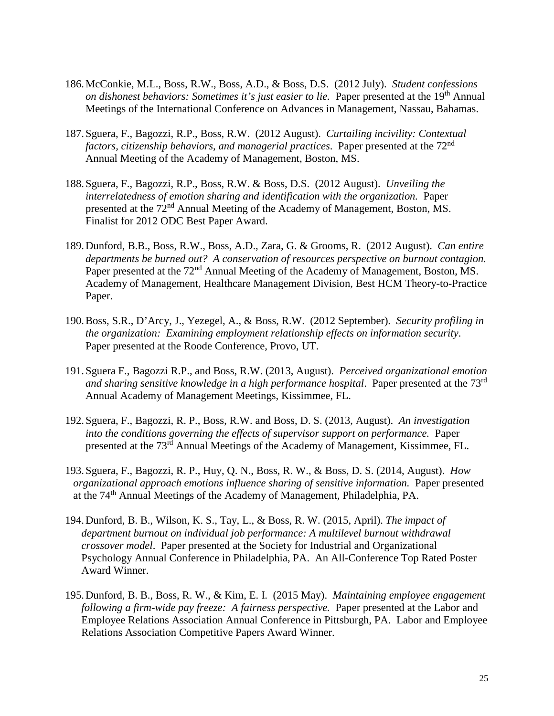- 186.McConkie, M.L., Boss, R.W., Boss, A.D., & Boss, D.S. (2012 July). *Student confessions on dishonest behaviors: Sometimes it's just easier to lie.* Paper presented at the 19<sup>th</sup> Annual Meetings of the International Conference on Advances in Management, Nassau, Bahamas.
- 187.Sguera, F., Bagozzi, R.P., Boss, R.W. (2012 August). *Curtailing incivility: Contextual factors, citizenship behaviors, and managerial practices*. Paper presented at the 72nd Annual Meeting of the Academy of Management, Boston, MS.
- 188.Sguera, F., Bagozzi, R.P., Boss, R.W. & Boss, D.S. (2012 August). *Unveiling the interrelatedness of emotion sharing and identification with the organization.* Paper presented at the 72nd Annual Meeting of the Academy of Management, Boston, MS. Finalist for 2012 ODC Best Paper Award.
- 189.Dunford, B.B., Boss, R.W., Boss, A.D., Zara, G. & Grooms, R. (2012 August). *Can entire departments be burned out? A conservation of resources perspective on burnout contagion.* Paper presented at the 72<sup>nd</sup> Annual Meeting of the Academy of Management, Boston, MS. Academy of Management, Healthcare Management Division, Best HCM Theory-to-Practice Paper.
- 190.Boss, S.R., D'Arcy, J., Yezegel, A., & Boss, R.W. (2012 September). *Security profiling in the organization: Examining employment relationship effects on information security*. Paper presented at the Roode Conference, Provo, UT.
- 191.Sguera F., Bagozzi R.P., and Boss, R.W. (2013, August). *Perceived organizational emotion and sharing sensitive knowledge in a high performance hospital*. Paper presented at the 73rd Annual Academy of Management Meetings, Kissimmee, FL.
- 192.Sguera, F., Bagozzi, R. P., Boss, R.W. and Boss, D. S. (2013, August). *An investigation into the conditions governing the effects of supervisor support on performance.*Paper presented at the 73rd Annual Meetings of the Academy of Management, Kissimmee, FL.
- 193.Sguera, F., Bagozzi, R. P., Huy, Q. N., Boss, R. W., & Boss, D. S. (2014, August). *How organizational approach emotions influence sharing of sensitive information.* Paper presented at the 74th Annual Meetings of the Academy of Management, Philadelphia, PA.
- 194.Dunford, B. B., Wilson, K. S., Tay, L., & Boss, R. W. (2015, April). *The impact of department burnout on individual job performance: A multilevel burnout withdrawal crossover model*. Paper presented at the Society for Industrial and Organizational Psychology Annual Conference in Philadelphia, PA. An All-Conference Top Rated Poster Award Winner.
- 195.Dunford, B. B., Boss, R. W., & Kim, E. I. (2015 May). *Maintaining employee engagement following a firm-wide pay freeze: A fairness perspective.* Paper presented at the Labor and Employee Relations Association Annual Conference in Pittsburgh, PA. Labor and Employee Relations Association Competitive Papers Award Winner.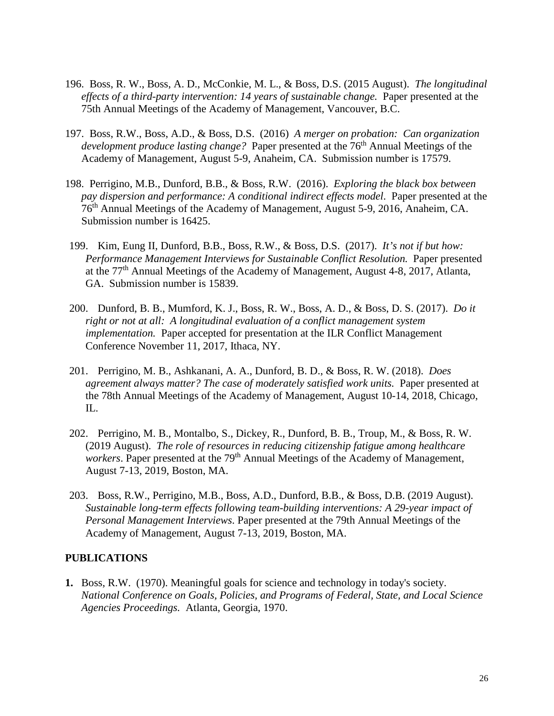- 196. Boss, R. W., Boss, A. D., McConkie, M. L., & Boss, D.S. (2015 August). *The longitudinal effects of a third-party intervention: 14 years of sustainable change.* Paper presented at the 75th Annual Meetings of the Academy of Management, Vancouver, B.C.
- 197. Boss, R.W., Boss, A.D., & Boss, D.S. (2016) *A merger on probation: Can organization development produce lasting change?* Paper presented at the 76<sup>th</sup> Annual Meetings of the Academy of Management, August 5-9, Anaheim, CA. Submission number is 17579.
- 198. Perrigino, M.B., Dunford, B.B., & Boss, R.W. (2016). *Exploring the black box between pay dispersion and performance: A conditional indirect effects model*. Paper presented at the 76th Annual Meetings of the Academy of Management, August 5-9, 2016, Anaheim, CA. Submission number is 16425.
- 199. Kim, Eung II, Dunford, B.B., Boss, R.W., & Boss, D.S. (2017). *It's not if but how: Performance Management Interviews for Sustainable Conflict Resolution.* Paper presented at the 77th Annual Meetings of the Academy of Management, August 4-8, 2017, Atlanta, GA. Submission number is 15839.
- 200. Dunford, B. B., Mumford, K. J., Boss, R. W., Boss, A. D., & Boss, D. S. (2017). *Do it right or not at all: A longitudinal evaluation of a conflict management system implementation.* Paper accepted for presentation at the ILR Conflict Management Conference November 11, 2017, Ithaca, NY.
- 201. Perrigino, M. B., Ashkanani, A. A., Dunford, B. D., & Boss, R. W. (2018). *Does agreement always matter? The case of moderately satisfied work units.* Paper presented at the 78th Annual Meetings of the Academy of Management, August 10-14, 2018, Chicago, IL.
- 202. Perrigino, M. B., Montalbo, S., Dickey, R., Dunford, B. B., Troup, M., & Boss, R. W. (2019 August). *The role of resources in reducing citizenship fatigue among healthcare workers*. Paper presented at the 79<sup>th</sup> Annual Meetings of the Academy of Management, August 7-13, 2019, Boston, MA.
- 203. Boss, R.W., Perrigino, M.B., Boss, A.D., Dunford, B.B., & Boss, D.B. (2019 August). *Sustainable long-term effects following team-building interventions: A 29-year impact of Personal Management Interviews*. Paper presented at the 79th Annual Meetings of the Academy of Management, August 7-13, 2019, Boston, MA.

### **PUBLICATIONS**

**1.** Boss, R.W. (1970). Meaningful goals for science and technology in today's society. *National Conference on Goals, Policies, and Programs of Federal, State, and Local Science Agencies Proceedings.* Atlanta, Georgia, 1970.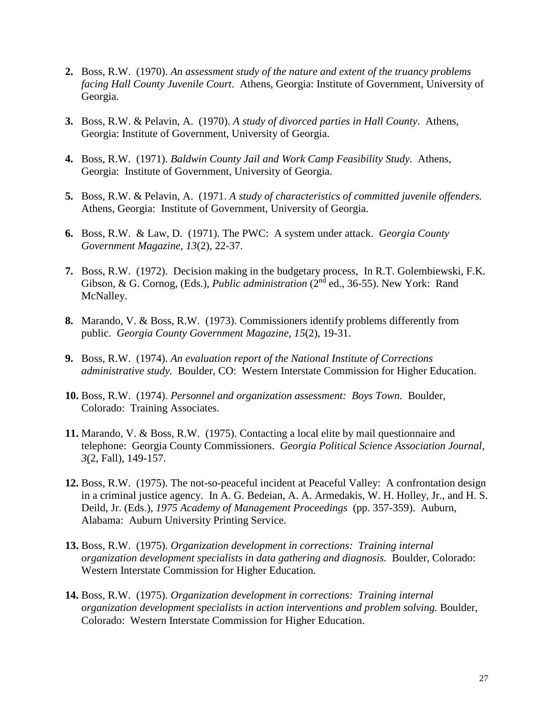- **2.** Boss, R.W. (1970). *An assessment study of the nature and extent of the truancy problems facing Hall County Juvenile Court*. Athens, Georgia: Institute of Government, University of Georgia.
- **3.** Boss, R.W. & Pelavin, A. (1970). *A study of divorced parties in Hall County*. Athens, Georgia: Institute of Government, University of Georgia.
- **4.** Boss, R.W. (1971). *Baldwin County Jail and Work Camp Feasibility Study.* Athens, Georgia: Institute of Government, University of Georgia.
- **5.** Boss, R.W. & Pelavin, A. (1971. *A study of characteristics of committed juvenile offenders.* Athens, Georgia: Institute of Government, University of Georgia.
- **6.** Boss, R.W. & Law, D. (1971). The PWC: A system under attack. *Georgia County Government Magazine, 13*(2), 22-37.
- **7.** Boss, R.W. (1972). Decision making in the budgetary process, In R.T. Golembiewski, F.K. Gibson, & G. Cornog, (Eds.), *Public administration* (2<sup>nd</sup> ed., 36-55). New York: Rand McNalley.
- **8.** Marando, V. & Boss, R.W. (1973). Commissioners identify problems differently from public. *Georgia County Government Magazine, 15*(2), 19-31.
- **9.** Boss, R.W. (1974). *An evaluation report of the National Institute of Corrections administrative study.* Boulder, CO: Western Interstate Commission for Higher Education.
- **10.** Boss, R.W. (1974). *Personnel and organization assessment: Boys Town.* Boulder, Colorado: Training Associates.
- **11.** Marando, V. & Boss, R.W. (1975). Contacting a local elite by mail questionnaire and telephone: Georgia County Commissioners. *Georgia Political Science Association Journal, 3*(2, Fall), 149-157.
- **12.** Boss, R.W. (1975). The not-so-peaceful incident at Peaceful Valley: A confrontation design in a criminal justice agency. In A. G. Bedeian, A. A. Armedakis, W. H. Holley, Jr., and H. S. Deild, Jr. (Eds.), *1975 Academy of Management Proceedings* (pp. 357-359). Auburn, Alabama: Auburn University Printing Service.
- **13.** Boss, R.W. (1975). *Organization development in corrections: Training internal organization development specialists in data gathering and diagnosis.* Boulder, Colorado: Western Interstate Commission for Higher Education.
- **14.** Boss, R.W. (1975). *Organization development in corrections: Training internal organization development specialists in action interventions and problem solving.* Boulder, Colorado: Western Interstate Commission for Higher Education.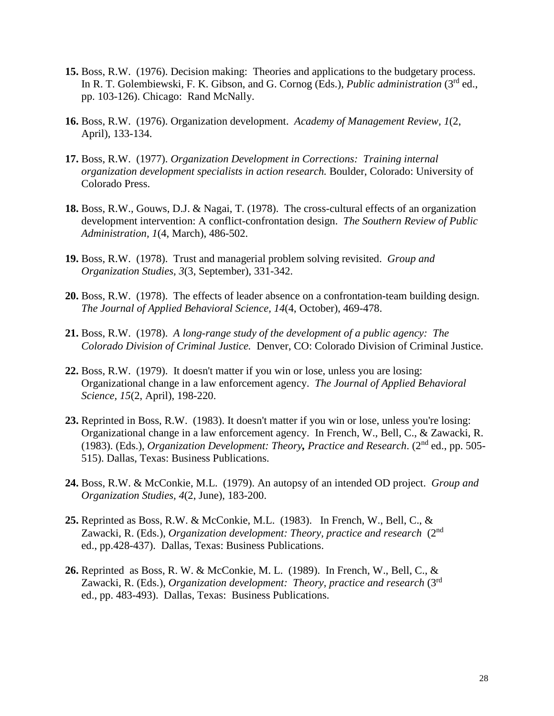- **15.** Boss, R.W. (1976). Decision making: Theories and applications to the budgetary process. In R. T. Golembiewski, F. K. Gibson, and G. Cornog (Eds.), *Public administration* (3<sup>rd</sup> ed., pp. 103-126). Chicago: Rand McNally.
- **16.** Boss, R.W. (1976). Organization development. *Academy of Management Review, 1*(2, April), 133-134.
- **17.** Boss, R.W. (1977). *Organization Development in Corrections: Training internal organization development specialists in action research.* Boulder, Colorado: University of Colorado Press.
- **18.** Boss, R.W., Gouws, D.J. & Nagai, T. (1978). The cross-cultural effects of an organization development intervention: A conflict-confrontation design. *The Southern Review of Public Administration, 1*(4, March), 486-502.
- **19.** Boss, R.W. (1978). Trust and managerial problem solving revisited. *Group and Organization Studies, 3*(3, September), 331-342.
- **20.** Boss, R.W. (1978). The effects of leader absence on a confrontation-team building design. *The Journal of Applied Behavioral Science, 14*(4, October), 469-478.
- **21.** Boss, R.W. (1978). *A long-range study of the development of a public agency: The Colorado Division of Criminal Justice.* Denver, CO: Colorado Division of Criminal Justice.
- **22.** Boss, R.W. (1979). It doesn't matter if you win or lose, unless you are losing: Organizational change in a law enforcement agency. *The Journal of Applied Behavioral Science, 15*(2, April), 198-220.
- **23.** Reprinted in Boss, R.W. (1983). It doesn't matter if you win or lose, unless you're losing: Organizational change in a law enforcement agency. In French, W., Bell, C., & Zawacki, R. (1983). (Eds.), *Organization Development: Theory, Practice and Research*. (2nd ed., pp. 505- 515). Dallas, Texas: Business Publications.
- **24.** Boss, R.W. & McConkie, M.L. (1979). An autopsy of an intended OD project. *Group and Organization Studies, 4*(2, June), 183-200.
- **25.** Reprinted as Boss, R.W. & McConkie, M.L. (1983). In French, W., Bell, C., & Zawacki, R. (Eds.), *Organization development: Theory, practice and research* (2nd ed., pp.428-437). Dallas, Texas: Business Publications.
- **26.** Reprinted as Boss, R. W. & McConkie, M. L. (1989). In French, W., Bell, C., & Zawacki, R. (Eds.), *Organization development: Theory, practice and research* (3rd ed., pp. 483-493). Dallas, Texas: Business Publications.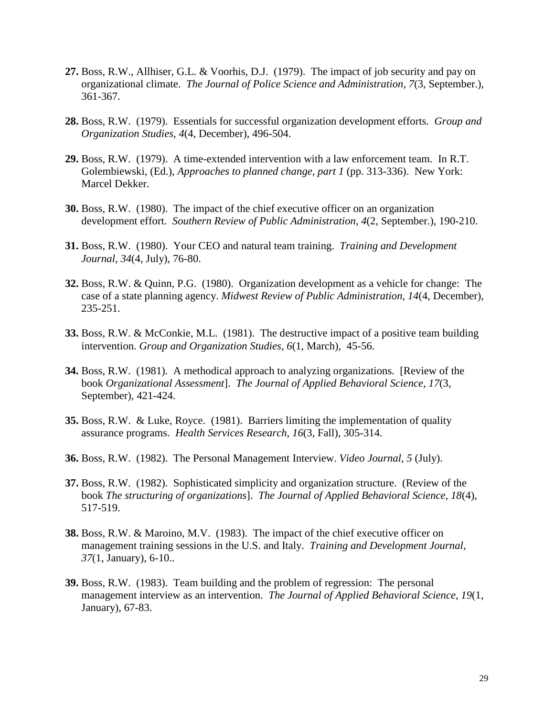- **27.** Boss, R.W., Allhiser, G.L. & Voorhis, D.J. (1979). The impact of job security and pay on organizational climate. *The Journal of Police Science and Administration, 7*(3, September.), 361-367.
- **28.** Boss, R.W. (1979). Essentials for successful organization development efforts. *Group and Organization Studies, 4*(4, December), 496-504.
- **29.** Boss, R.W. (1979). A time-extended intervention with a law enforcement team. In R.T. Golembiewski, (Ed.), *Approaches to planned change, part 1* (pp. 313-336). New York: Marcel Dekker.
- **30.** Boss, R.W. (1980). The impact of the chief executive officer on an organization development effort. *Southern Review of Public Administration, 4*(2, September.), 190-210.
- **31.** Boss, R.W. (1980). Your CEO and natural team training. *Training and Development Journal, 34*(4, July), 76-80.
- **32.** Boss, R.W. & Quinn, P.G. (1980). Organization development as a vehicle for change: The case of a state planning agency. *Midwest Review of Public Administration, 14*(4, December), 235-251.
- **33.** Boss, R.W. & McConkie, M.L. (1981). The destructive impact of a positive team building intervention. *Group and Organization Studies, 6*(1, March), 45-56.
- **34.** Boss, R.W. (1981). A methodical approach to analyzing organizations. [Review of the book *Organizational Assessment*]. *The Journal of Applied Behavioral Science, 17*(3, September), 421-424.
- **35.** Boss, R.W. & Luke, Royce. (1981). Barriers limiting the implementation of quality assurance programs. *Health Services Research, 16*(3, Fall), 305-314.
- **36.** Boss, R.W. (1982). The Personal Management Interview. *Video Journal, 5* (July).
- **37.** Boss, R.W. (1982). Sophisticated simplicity and organization structure. (Review of the book *The structuring of organizations*]. *The Journal of Applied Behavioral Science, 18*(4), 517-519.
- **38.** Boss, R.W. & Maroino, M.V. (1983). The impact of the chief executive officer on management training sessions in the U.S. and Italy. *Training and Development Journal, 37*(1, January), 6-10..
- **39.** Boss, R.W. (1983). Team building and the problem of regression: The personal management interview as an intervention. *The Journal of Applied Behavioral Science, 19*(1, January), 67-83.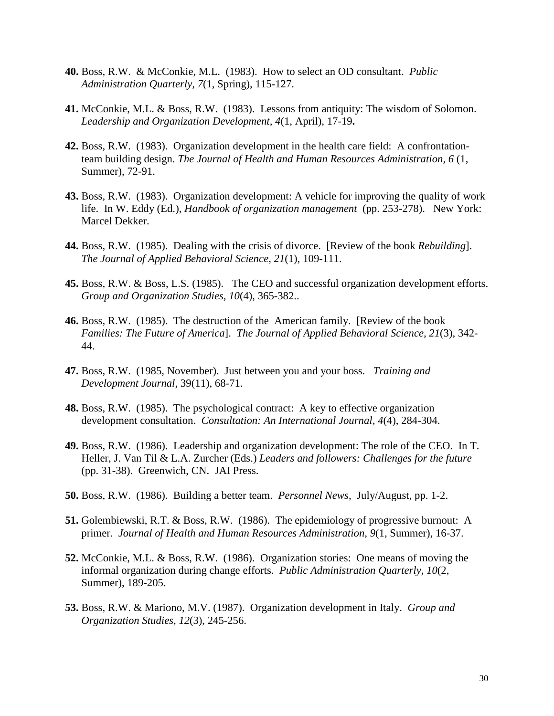- **40.** Boss, R.W. & McConkie, M.L. (1983). How to select an OD consultant. *Public Administration Quarterly, 7*(1, Spring), 115-127.
- **41.** McConkie, M.L. & Boss, R.W. (1983). Lessons from antiquity: The wisdom of Solomon. *Leadership and Organization Development, 4*(1, April), 17-19**.**
- **42.** Boss, R.W. (1983). Organization development in the health care field: A confrontationteam building design. *The Journal of Health and Human Resources Administration, 6* (1, Summer), 72-91.
- **43.** Boss, R.W. (1983). Organization development: A vehicle for improving the quality of work life. In W. Eddy (Ed.), *Handbook of organization management* (pp. 253-278). New York: Marcel Dekker.
- **44.** Boss, R.W. (1985). Dealing with the crisis of divorce. [Review of the book *Rebuilding*]. *The Journal of Applied Behavioral Science, 21*(1), 109-111.
- **45.** Boss, R.W. & Boss, L.S. (1985). The CEO and successful organization development efforts. *Group and Organization Studies, 10*(4), 365-382..
- **46.** Boss, R.W. (1985). The destruction of the American family. [Review of the book *Families: The Future of America*]. *The Journal of Applied Behavioral Science, 21*(3), 342- 44.
- **47.** Boss, R.W. (1985, November). Just between you and your boss. *Training and Development Journal*, 39(11), 68-71.
- **48.** Boss, R.W. (1985). The psychological contract: A key to effective organization development consultation. *Consultation: An International Journal, 4*(4), 284-304.
- **49.** Boss, R.W. (1986). Leadership and organization development: The role of the CEO. In T. Heller, J. Van Til & L.A. Zurcher (Eds.) *Leaders and followers: Challenges for the future*  (pp. 31-38). Greenwich, CN. JAI Press.
- **50.** Boss, R.W. (1986). Building a better team. *Personnel News*, July/August, pp. 1-2.
- **51.** Golembiewski, R.T. & Boss, R.W. (1986). The epidemiology of progressive burnout: A primer. *Journal of Health and Human Resources Administration, 9*(1, Summer), 16-37.
- **52.** McConkie, M.L. & Boss, R.W. (1986). Organization stories: One means of moving the informal organization during change efforts. *Public Administration Quarterly, 10*(2, Summer), 189-205.
- **53.** Boss, R.W. & Mariono, M.V. (1987). Organization development in Italy. *Group and Organization Studies, 12*(3), 245-256.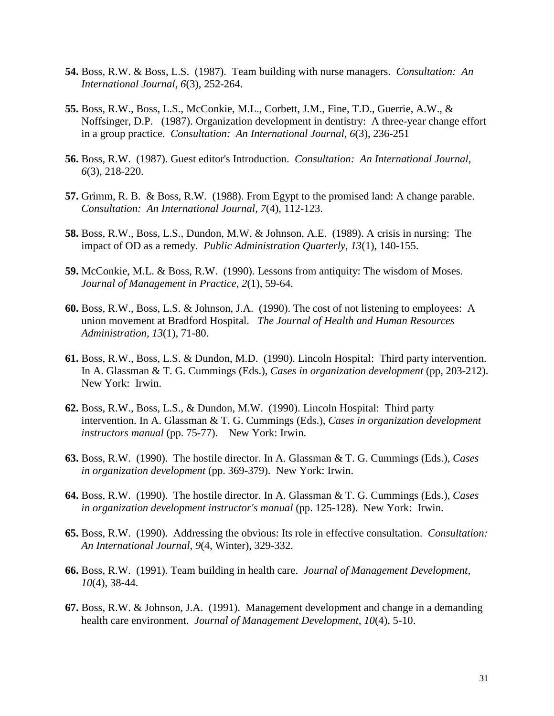- **54.** Boss, R.W. & Boss, L.S. (1987). Team building with nurse managers. *Consultation: An International Journal, 6*(3), 252-264.
- **55.** Boss, R.W., Boss, L.S., McConkie, M.L., Corbett, J.M., Fine, T.D., Guerrie, A.W., & Noffsinger, D.P. (1987). Organization development in dentistry: A three-year change effort in a group practice. *Consultation: An International Journal, 6*(3), 236-251
- **56.** Boss, R.W. (1987). Guest editor's Introduction. *Consultation: An International Journal, 6*(3), 218-220.
- **57.** Grimm, R. B. & Boss, R.W. (1988). From Egypt to the promised land: A change parable. *Consultation: An International Journal, 7*(4), 112-123.
- **58.** Boss, R.W., Boss, L.S., Dundon, M.W. & Johnson, A.E. (1989). A crisis in nursing: The impact of OD as a remedy. *Public Administration Quarterly, 13*(1), 140-155.
- **59.** McConkie, M.L. & Boss, R.W. (1990). Lessons from antiquity: The wisdom of Moses. *Journal of Management in Practice, 2*(1), 59-64.
- **60.** Boss, R.W., Boss, L.S. & Johnson, J.A. (1990). The cost of not listening to employees: A union movement at Bradford Hospital. *The Journal of Health and Human Resources Administration, 13*(1), 71-80.
- **61.** Boss, R.W., Boss, L.S. & Dundon, M.D. (1990). Lincoln Hospital: Third party intervention. In A. Glassman & T. G. Cummings (Eds.), *Cases in organization development* (pp, 203-212). New York: Irwin.
- **62.** Boss, R.W., Boss, L.S., & Dundon, M.W. (1990). Lincoln Hospital: Third party intervention. In A. Glassman & T. G. Cummings (Eds.), *Cases in organization development instructors manual* (pp. 75-77). New York: Irwin.
- **63.** Boss, R.W. (1990). The hostile director. In A. Glassman & T. G. Cummings (Eds.), *Cases in organization development* (pp. 369-379). New York: Irwin.
- **64.** Boss, R.W. (1990). The hostile director. In A. Glassman & T. G. Cummings (Eds.), *Cases in organization development instructor's manual* (pp. 125-128). New York: Irwin.
- **65.** Boss, R.W. (1990). Addressing the obvious: Its role in effective consultation. *Consultation: An International Journal, 9*(4, Winter), 329-332.
- **66.** Boss, R.W. (1991). Team building in health care. *Journal of Management Development, 10*(4), 38-44.
- **67.** Boss, R.W. & Johnson, J.A. (1991). Management development and change in a demanding health care environment. *Journal of Management Development, 10*(4), 5-10.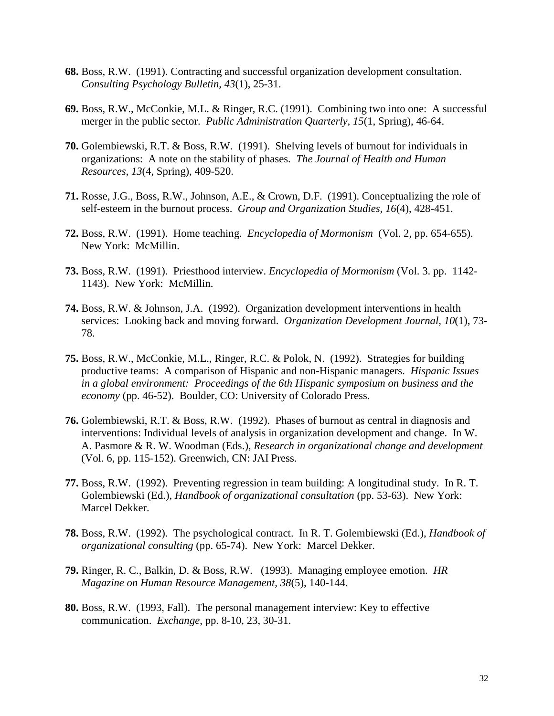- **68.** Boss, R.W. (1991). Contracting and successful organization development consultation. *Consulting Psychology Bulletin, 43*(1), 25-31.
- **69.** Boss, R.W., McConkie, M.L. & Ringer, R.C. (1991). Combining two into one: A successful merger in the public sector. *Public Administration Quarterly, 15*(1, Spring), 46-64.
- **70.** Golembiewski, R.T. & Boss, R.W. (1991). Shelving levels of burnout for individuals in organizations: A note on the stability of phases. *The Journal of Health and Human Resources, 13*(4, Spring), 409-520.
- **71.** Rosse, J.G., Boss, R.W., Johnson, A.E., & Crown, D.F. (1991). Conceptualizing the role of self-esteem in the burnout process. *Group and Organization Studies, 16*(4), 428-451.
- **72.** Boss, R.W. (1991). Home teaching. *Encyclopedia of Mormonism* (Vol. 2, pp. 654-655). New York: McMillin.
- **73.** Boss, R.W. (1991). Priesthood interview. *Encyclopedia of Mormonism* (Vol. 3. pp. 1142- 1143). New York: McMillin.
- **74.** Boss, R.W. & Johnson, J.A. (1992). Organization development interventions in health services: Looking back and moving forward. *Organization Development Journal, 10*(1), 73- 78.
- **75.** Boss, R.W., McConkie, M.L., Ringer, R.C. & Polok, N. (1992). Strategies for building productive teams: A comparison of Hispanic and non-Hispanic managers. *Hispanic Issues in a global environment: Proceedings of the 6th Hispanic symposium on business and the economy* (pp. 46-52). Boulder, CO: University of Colorado Press.
- **76.** Golembiewski, R.T. & Boss, R.W. (1992). Phases of burnout as central in diagnosis and interventions: Individual levels of analysis in organization development and change. In W. A. Pasmore & R. W. Woodman (Eds.), *Research in organizational change and development*  (Vol. 6, pp. 115-152). Greenwich, CN: JAI Press.
- **77.** Boss, R.W. (1992). Preventing regression in team building: A longitudinal study. In R. T. Golembiewski (Ed.), *Handbook of organizational consultation* (pp. 53-63). New York: Marcel Dekker.
- **78.** Boss, R.W. (1992). The psychological contract. In R. T. Golembiewski (Ed.), *Handbook of organizational consulting* (pp. 65-74). New York: Marcel Dekker.
- **79.** Ringer, R. C., Balkin, D. & Boss, R.W. (1993). Managing employee emotion. *HR Magazine on Human Resource Management, 38*(5), 140-144.
- **80.** Boss, R.W. (1993, Fall). The personal management interview: Key to effective communication. *Exchange*, pp. 8-10, 23, 30-31.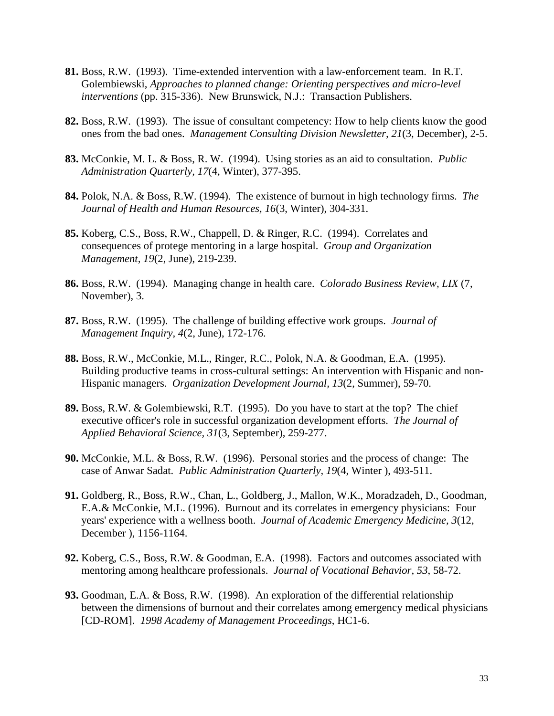- **81.** Boss, R.W. (1993). Time-extended intervention with a law-enforcement team. In R.T. Golembiewski, *Approaches to planned change: Orienting perspectives and micro-level interventions* (pp. 315-336). New Brunswick, N.J.: Transaction Publishers.
- **82.** Boss, R.W. (1993). The issue of consultant competency: How to help clients know the good ones from the bad ones. *Management Consulting Division Newsletter, 21*(3, December), 2-5.
- **83.** McConkie, M. L. & Boss, R. W. (1994). Using stories as an aid to consultation. *Public Administration Quarterly, 17*(4, Winter), 377-395.
- **84.** Polok, N.A. & Boss, R.W. (1994). The existence of burnout in high technology firms. *The Journal of Health and Human Resources, 16*(3, Winter), 304-331.
- **85.** Koberg, C.S., Boss, R.W., Chappell, D. & Ringer, R.C. (1994). Correlates and consequences of protege mentoring in a large hospital. *Group and Organization Management, 19*(2, June), 219-239.
- **86.** Boss, R.W. (1994). Managing change in health care. *Colorado Business Review, LIX* (7, November), 3.
- **87.** Boss, R.W. (1995). The challenge of building effective work groups. *Journal of Management Inquiry, 4*(2, June), 172-176.
- **88.** Boss, R.W., McConkie, M.L., Ringer, R.C., Polok, N.A. & Goodman, E.A. (1995). Building productive teams in cross-cultural settings: An intervention with Hispanic and non-Hispanic managers. *Organization Development Journal, 13*(2, Summer), 59-70.
- **89.** Boss, R.W. & Golembiewski, R.T. (1995). Do you have to start at the top? The chief executive officer's role in successful organization development efforts. *The Journal of Applied Behavioral Science, 31*(3, September), 259-277.
- **90.** McConkie, M.L. & Boss, R.W. (1996). Personal stories and the process of change: The case of Anwar Sadat. *Public Administration Quarterly, 19*(4, Winter ), 493-511.
- **91.** Goldberg, R., Boss, R.W., Chan, L., Goldberg, J., Mallon, W.K., Moradzadeh, D., Goodman, E.A.& McConkie, M.L. (1996). Burnout and its correlates in emergency physicians: Four years' experience with a wellness booth. *Journal of Academic Emergency Medicine, 3*(12, December ), 1156-1164.
- **92.** Koberg, C.S., Boss, R.W. & Goodman, E.A. (1998). Factors and outcomes associated with mentoring among healthcare professionals. *Journal of Vocational Behavior, 53*, 58-72.
- **93.** Goodman, E.A. & Boss, R.W. (1998). An exploration of the differential relationship between the dimensions of burnout and their correlates among emergency medical physicians [CD-ROM]. *1998 Academy of Management Proceedings*, HC1-6.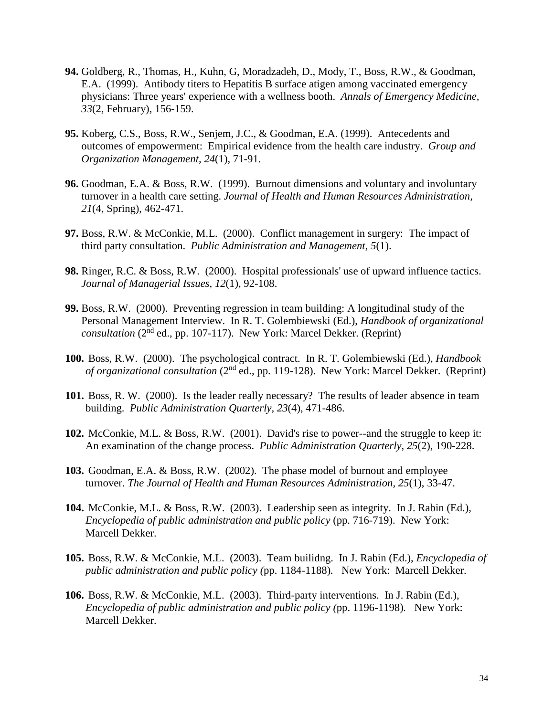- **94.** Goldberg, R., Thomas, H., Kuhn, G, Moradzadeh, D., Mody, T., Boss, R.W., & Goodman, E.A. (1999). Antibody titers to Hepatitis B surface atigen among vaccinated emergency physicians: Three years' experience with a wellness booth. *Annals of Emergency Medicine, 33*(2, February), 156-159.
- **95.** Koberg, C.S., Boss, R.W., Senjem, J.C., & Goodman, E.A. (1999). Antecedents and outcomes of empowerment: Empirical evidence from the health care industry. *Group and Organization Management, 24*(1), 71-91.
- **96.** Goodman, E.A. & Boss, R.W. (1999). Burnout dimensions and voluntary and involuntary turnover in a health care setting. *Journal of Health and Human Resources Administration, 21*(4, Spring), 462-471.
- **97.** Boss, R.W. & McConkie, M.L. (2000). Conflict management in surgery: The impact of third party consultation. *Public Administration and Management, 5*(1).
- **98.** Ringer, R.C. & Boss, R.W. (2000). Hospital professionals' use of upward influence tactics. *Journal of Managerial Issues, 12*(1), 92-108.
- **99.** Boss, R.W. (2000). Preventing regression in team building: A longitudinal study of the Personal Management Interview. In R. T. Golembiewski (Ed.), *Handbook of organizational consultation* (2nd ed., pp. 107-117). New York: Marcel Dekker. (Reprint)
- **100.** Boss, R.W. (2000). The psychological contract. In R. T. Golembiewski (Ed.), *Handbook of organizational consultation* (2nd ed., pp. 119-128). New York: Marcel Dekker. (Reprint)
- **101.** Boss, R. W. (2000). Is the leader really necessary? The results of leader absence in team building. *Public Administration Quarterly, 23*(4), 471-486.
- **102.** McConkie, M.L. & Boss, R.W. (2001). David's rise to power--and the struggle to keep it: An examination of the change process. *Public Administration Quarterly*, *25*(2), 190-228.
- **103.** Goodman, E.A. & Boss, R.W. (2002). The phase model of burnout and employee turnover. *The Journal of Health and Human Resources Administration, 25*(1), 33-47.
- **104.** McConkie, M.L. & Boss, R.W. (2003). Leadership seen as integrity. In J. Rabin (Ed.), *Encyclopedia of public administration and public policy* (pp. 716-719). New York: Marcell Dekker.
- **105.** Boss, R.W. & McConkie, M.L. (2003). Team builidng. In J. Rabin (Ed.), *Encyclopedia of public administration and public policy (*pp. 1184-1188)*.* New York: Marcell Dekker.
- **106.** Boss, R.W. & McConkie, M.L. (2003). Third-party interventions. In J. Rabin (Ed.), *Encyclopedia of public administration and public policy (*pp. 1196-1198)*.* New York: Marcell Dekker.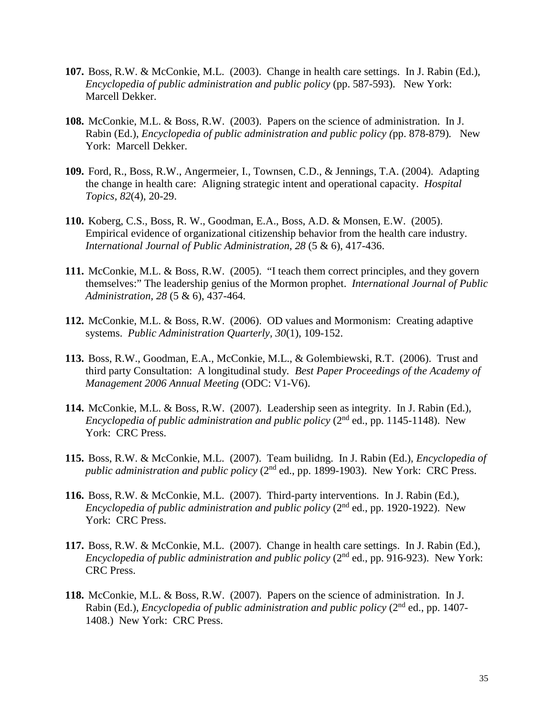- **107.** Boss, R.W. & McConkie, M.L. (2003). Change in health care settings. In J. Rabin (Ed.), *Encyclopedia of public administration and public policy* (pp. 587-593).New York: Marcell Dekker.
- **108.** McConkie, M.L. & Boss, R.W. (2003). Papers on the science of administration. In J. Rabin (Ed.), *Encyclopedia of public administration and public policy (*pp. 878-879)*.* New York: Marcell Dekker.
- **109.** Ford, R., Boss, R.W., Angermeier, I., Townsen, C.D., & Jennings, T.A. (2004). Adapting the change in health care: Aligning strategic intent and operational capacity. *Hospital Topics, 82*(4), 20-29.
- **110.** Koberg, C.S., Boss, R. W., Goodman, E.A., Boss, A.D. & Monsen, E.W. (2005). Empirical evidence of organizational citizenship behavior from the health care industry. *International Journal of Public Administration, 28* (5 & 6), 417-436.
- **111.** McConkie, M.L. & Boss, R.W. (2005). "I teach them correct principles, and they govern themselves:" The leadership genius of the Mormon prophet. *International Journal of Public Administration, 28* (5 & 6), 437-464*.*
- **112.** McConkie, M.L. & Boss, R.W. (2006). OD values and Mormonism: Creating adaptive systems. *Public Administration Quarterly, 30*(1), 109-152.
- **113.** Boss, R.W., Goodman, E.A., McConkie, M.L., & Golembiewski, R.T. (2006). Trust and third party Consultation: A longitudinal study*. Best Paper Proceedings of the Academy of Management 2006 Annual Meeting* (ODC: V1-V6).
- **114.** McConkie, M.L. & Boss, R.W. (2007). Leadership seen as integrity. In J. Rabin (Ed.), *Encyclopedia of public administration and public policy*  $(2^{nd}$  ed., pp. 1145-1148). New York: CRC Press.
- **115.** Boss, R.W. & McConkie, M.L. (2007). Team builidng. In J. Rabin (Ed.), *Encyclopedia of public administration and public policy* (2<sup>nd</sup> ed., pp. 1899-1903). New York: CRC Press.
- **116.** Boss, R.W. & McConkie, M.L. (2007). Third-party interventions. In J. Rabin (Ed.), *Encyclopedia of public administration and public policy* (2nd ed., pp. 1920-1922). New York: CRC Press.
- **117.** Boss, R.W. & McConkie, M.L. (2007). Change in health care settings. In J. Rabin (Ed.), *Encyclopedia of public administration and public policy* (2<sup>nd</sup> ed., pp. 916-923). New York: CRC Press.
- **118.** McConkie, M.L. & Boss, R.W. (2007). Papers on the science of administration. In J. Rabin (Ed.), *Encyclopedia of public administration and public policy* (2<sup>nd</sup> ed., pp. 1407-1408.) New York: CRC Press.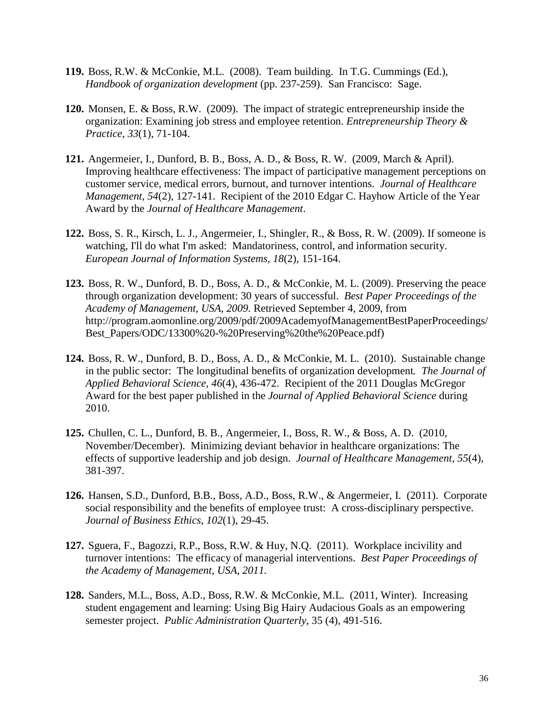- **119.** Boss, R.W. & McConkie, M.L. (2008). Team building. In T.G. Cummings (Ed.), *Handbook of organization development* (pp. 237-259). San Francisco: Sage.
- **120.** Monsen, E. & Boss, R.W. (2009). The impact of strategic entrepreneurship inside the organization: Examining job stress and employee retention. *Entrepreneurship Theory & Practice*, *33*(1), 71-104.
- **121.** Angermeier, I., Dunford, B. B., Boss, A. D., & Boss, R. W. (2009, March & April). Improving healthcare effectiveness: The impact of participative management perceptions on customer service, medical errors, burnout, and turnover intentions. *Journal of Healthcare Management, 54*(2), 127-141. Recipient of the 2010 Edgar C. Hayhow Article of the Year Award by the *Journal of Healthcare Management*.
- **122.** Boss, S. R., Kirsch, L. J., Angermeier, I., Shingler, R., & Boss, R. W. (2009). If someone is watching, I'll do what I'm asked: Mandatoriness, control, and information security. *European Journal of Information Systems, 18*(2), 151-164.
- **123.** Boss, R. W., Dunford, B. D., Boss, A. D., & McConkie, M. L. (2009). Preserving the peace through organization development: 30 years of successful. *Best Paper Proceedings of the Academy of Management, USA, 2009.* Retrieved September 4, 2009, from [http://program.aomonline.org/2009/pdf/2009AcademyofManagementBestPaperProceedings/](http://program.aomonline.org/2009/pdf/2009AcademyofManagementBestPaperProceedings/Best_Papers/ODC/13300%20-%20Preserving%20the%20Peace.pdf) [Best\\_Papers/ODC/13300%20-%20Preserving%20the%20Peace.pdf\)](http://program.aomonline.org/2009/pdf/2009AcademyofManagementBestPaperProceedings/Best_Papers/ODC/13300%20-%20Preserving%20the%20Peace.pdf)
- **124.** Boss, R. W., Dunford, B. D., Boss, A. D., & McConkie, M. L. (2010). Sustainable change in the public sector: The longitudinal benefits of organization development*. The Journal of Applied Behavioral Science, 46*(4), 436-472. Recipient of the 2011 Douglas McGregor Award for the best paper published in the *Journal of Applied Behavioral Science* during 2010.
- **125.** Chullen, C. L., Dunford, B. B., Angermeier, I., Boss, R. W., & Boss, A. D. (2010, November/December). Minimizing deviant behavior in healthcare organizations: The effects of supportive leadership and job design. *Journal of Healthcare Management, 55*(4), 381-397.
- **126.** Hansen, S.D., Dunford, B.B., Boss, A.D., Boss, R.W., & Angermeier, I. (2011). Corporate social responsibility and the benefits of employee trust: A cross-disciplinary perspective. *Journal of Business Ethics*, *102*(1), 29-45.
- **127.** Sguera, F., Bagozzi, R.P., Boss, R.W. & Huy, N.Q. (2011). Workplace incivility and turnover intentions: The efficacy of managerial interventions. *Best Paper Proceedings of the Academy of Management, USA, 2011.*
- **128.** Sanders, M.L., Boss, A.D., Boss, R.W. & McConkie, M.L. (2011, Winter). Increasing student engagement and learning: Using Big Hairy Audacious Goals as an empowering semester project. *Public Administration Quarterly*, 35 (4), 491-516.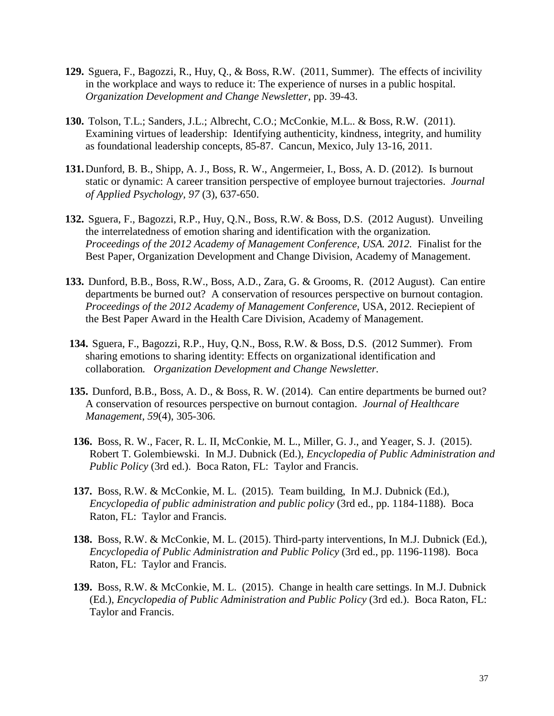- **129.** Sguera, F., Bagozzi, R., Huy, Q., & Boss, R.W. (2011, Summer). The effects of incivility in the workplace and ways to reduce it: The experience of nurses in a public hospital. *Organization Development and Change Newsletter,* pp. 39-43.
- **130.** Tolson, T.L.; Sanders, J.L.; Albrecht, C.O.; McConkie, M.L.. & Boss, R.W. (2011). Examining virtues of leadership: Identifying authenticity, kindness, integrity, and humility as foundational leadership concepts, 85-87. Cancun, Mexico, July 13-16, 2011.
- **131.**Dunford, B. B., Shipp, A. J., Boss, R. W., Angermeier, I., Boss, A. D. (2012). Is burnout static or dynamic: A career transition perspective of employee burnout trajectories. *Journal of Applied Psychology, 97* (3), 637-650.
- **132.** Sguera, F., Bagozzi, R.P., Huy, Q.N., Boss, R.W. & Boss, D.S. (2012 August). Unveiling the interrelatedness of emotion sharing and identification with the organization*. Proceedings of the 2012 Academy of Management Conference, USA. 2012.* Finalist for the Best Paper, Organization Development and Change Division, Academy of Management.
- **133.** Dunford, B.B., Boss, R.W., Boss, A.D., Zara, G. & Grooms, R. (2012 August). Can entire departments be burned out? A conservation of resources perspective on burnout contagion. *Proceedings of the 2012 Academy of Management Conference*, USA, 2012. Reciepient of the Best Paper Award in the Health Care Division, Academy of Management.
- **134.** Sguera, F., Bagozzi, R.P., Huy, Q.N., Boss, R.W. & Boss, D.S. (2012 Summer). From sharing emotions to sharing identity: Effects on organizational identification and collaboration*. Organization Development and Change Newsletter.*
- **135.** Dunford, B.B., Boss, A. D., & Boss, R. W. (2014). Can entire departments be burned out? A conservation of resources perspective on burnout contagion. *Journal of Healthcare Management*, *59*(4), 305-306.
- **136.** Boss, R. W., Facer, R. L. II, McConkie, M. L., Miller, G. J., and Yeager, S. J. (2015). Robert T. Golembiewski. In M.J. Dubnick (Ed.), *Encyclopedia of Public Administration and Public Policy* (3rd ed.). Boca Raton, FL: Taylor and Francis.
- **137.** Boss, R.W. & McConkie, M. L. (2015). Team building, In M.J. Dubnick (Ed.), *Encyclopedia of public administration and public policy* (3rd ed., pp. 1184-1188). Boca Raton, FL: Taylor and Francis.
- **138.** Boss, R.W. & McConkie, M. L. (2015). Third-party interventions, In M.J. Dubnick (Ed.), *Encyclopedia of Public Administration and Public Policy* (3rd ed., pp. 1196-1198). Boca Raton, FL: Taylor and Francis.
- **139.** Boss, R.W. & McConkie, M. L. (2015). Change in health care settings. In M.J. Dubnick (Ed.), *Encyclopedia of Public Administration and Public Policy* (3rd ed.). Boca Raton, FL: Taylor and Francis.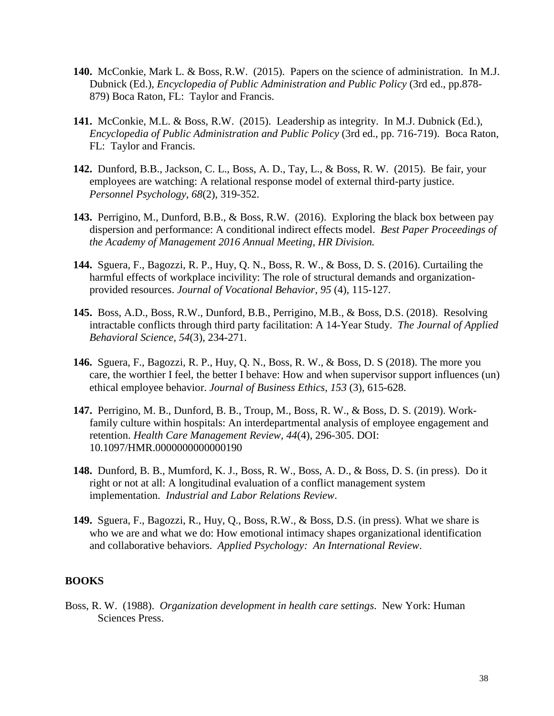- **140.** McConkie, Mark L. & Boss, R.W. (2015). Papers on the science of administration. In M.J. Dubnick (Ed.), *Encyclopedia of Public Administration and Public Policy* (3rd ed., pp.878- 879) Boca Raton, FL: Taylor and Francis.
- **141.** McConkie, M.L. & Boss, R.W. (2015). Leadership as integrity. In M.J. Dubnick (Ed.), *Encyclopedia of Public Administration and Public Policy* (3rd ed., pp. 716-719). Boca Raton, FL: Taylor and Francis.
- **142.** Dunford, B.B., Jackson, C. L., Boss, A. D., Tay, L., & Boss, R. W. (2015). Be fair, your employees are watching: A relational response model of external third-party justice. *Personnel Psychology, 68*(2), 319-352.
- **143.** Perrigino, M., Dunford, B.B., & Boss, R.W. (2016). Exploring the black box between pay dispersion and performance: A conditional indirect effects model. *Best Paper Proceedings of the Academy of Management 2016 Annual Meeting, HR Division.*
- **144.** Sguera, F., Bagozzi, R. P., Huy, Q. N., Boss, R. W., & Boss, D. S. (2016). Curtailing the harmful effects of workplace incivility: The role of structural demands and organizationprovided resources. *Journal of Vocational Behavior, 95* (4), 115-127.
- **145.** Boss, A.D., Boss, R.W., Dunford, B.B., Perrigino, M.B., & Boss, D.S. (2018). Resolving intractable conflicts through third party facilitation: A 14-Year Study. *The Journal of Applied Behavioral Science, 54*(3), 234-271.
- **146.** Sguera, F., Bagozzi, R. P., Huy, Q. N., Boss, R. W., & Boss, D. S (2018). The more you care, the worthier I feel, the better I behave: How and when supervisor support influences (un) ethical employee behavior. *Journal of Business Ethics, 153* (3), 615-628.
- **147.** Perrigino, M. B., Dunford, B. B., Troup, M., Boss, R. W., & Boss, D. S. (2019). Workfamily culture within hospitals: An interdepartmental analysis of employee engagement and retention. *Health Care Management Review, 44*(4), 296-305. DOI: 10.1097/HMR.0000000000000190
- **148.** Dunford, B. B., Mumford, K. J., Boss, R. W., Boss, A. D., & Boss, D. S. (in press). Do it right or not at all: A longitudinal evaluation of a conflict management system implementation. *Industrial and Labor Relations Review*.
- **149.** Sguera, F., Bagozzi, R., Huy, Q., Boss, R.W., & Boss, D.S. (in press). What we share is who we are and what we do: How emotional intimacy shapes organizational identification and collaborative behaviors. *Applied Psychology: An International Review*.

## **BOOKS**

Boss, R. W. (1988). *Organization development in health care settings*. New York: Human Sciences Press.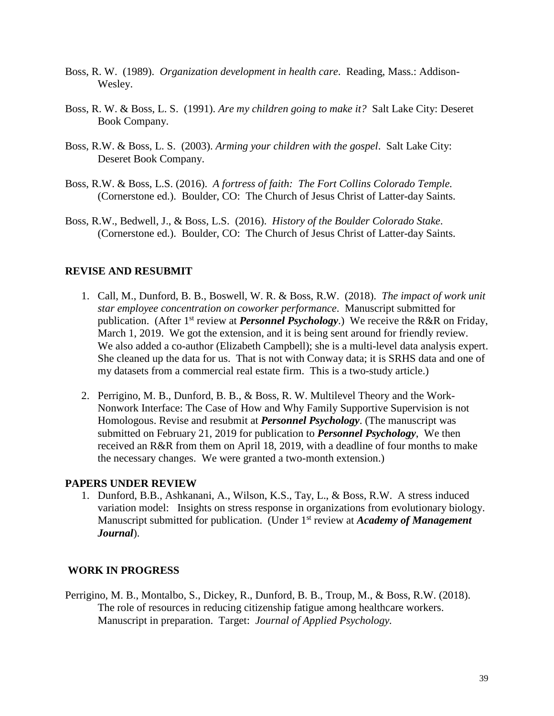- Boss, R. W. (1989). *Organization development in health care*. Reading, Mass.: Addison-Wesley.
- Boss, R. W. & Boss, L. S. (1991). *Are my children going to make it?* Salt Lake City: Deseret Book Company.
- Boss, R.W. & Boss, L. S. (2003). *Arming your children with the gospel*. Salt Lake City: Deseret Book Company.
- Boss, R.W. & Boss, L.S. (2016). *A fortress of faith: The Fort Collins Colorado Temple.* (Cornerstone ed.). Boulder, CO: The Church of Jesus Christ of Latter-day Saints.
- Boss, R.W., Bedwell, J., & Boss, L.S. (2016). *History of the Boulder Colorado Stake*. (Cornerstone ed.). Boulder, CO: The Church of Jesus Christ of Latter-day Saints.

## **REVISE AND RESUBMIT**

- 1. Call, M., Dunford, B. B., Boswell, W. R. & Boss, R.W. (2018). *The impact of work unit star employee concentration on coworker performance*. Manuscript submitted for publication. (After 1<sup>st</sup> review at *Personnel Psychology*.) We receive the R&R on Friday, March 1, 2019. We got the extension, and it is being sent around for friendly review. We also added a co-author (Elizabeth Campbell); she is a multi-level data analysis expert. She cleaned up the data for us. That is not with Conway data; it is SRHS data and one of my datasets from a commercial real estate firm. This is a two-study article.)
- 2. Perrigino, M. B., Dunford, B. B., & Boss, R. W. Multilevel Theory and the Work-Nonwork Interface: The Case of How and Why Family Supportive Supervision is not Homologous. Revise and resubmit at *Personnel Psychology*. (The manuscript was submitted on February 21, 2019 for publication to *Personnel Psychology*, We then received an R&R from them on April 18, 2019, with a deadline of four months to make the necessary changes. We were granted a two-month extension.)

#### **PAPERS UNDER REVIEW**

1. Dunford, B.B., Ashkanani, A., Wilson, K.S., Tay, L., & Boss, R.W. A stress induced variation model: Insights on stress response in organizations from evolutionary biology. Manuscript submitted for publication. (Under 1<sup>st</sup> review at *Academy of Management Journal*).

#### **WORK IN PROGRESS**

Perrigino, M. B., Montalbo, S., Dickey, R., Dunford, B. B., Troup, M., & Boss, R.W. (2018). The role of resources in reducing citizenship fatigue among healthcare workers. Manuscript in preparation. Target: *Journal of Applied Psychology.*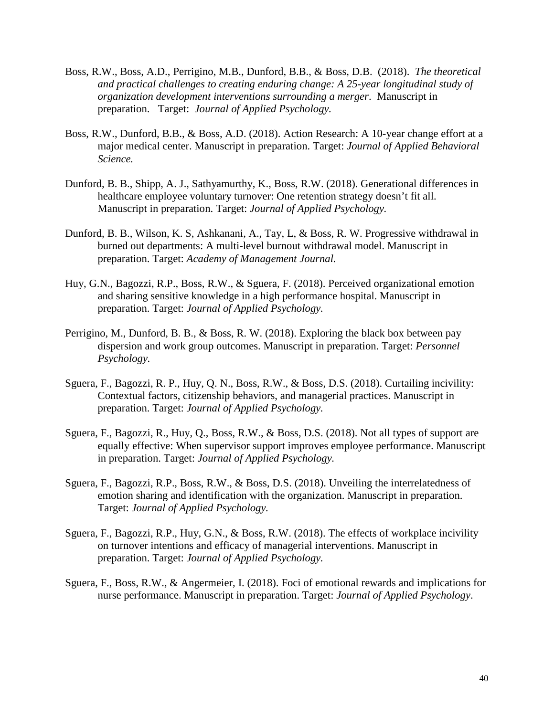- Boss, R.W., Boss, A.D., Perrigino, M.B., Dunford, B.B., & Boss, D.B. (2018). *The theoretical and practical challenges to creating enduring change: A 25-year longitudinal study of organization development interventions surrounding a merger*. Manuscript in preparation. Target: *Journal of Applied Psychology.*
- Boss, R.W., Dunford, B.B., & Boss, A.D. (2018). Action Research: A 10-year change effort at a major medical center. Manuscript in preparation. Target: *Journal of Applied Behavioral Science.*
- Dunford, B. B., Shipp, A. J., Sathyamurthy, K., Boss, R.W. (2018). Generational differences in healthcare employee voluntary turnover: One retention strategy doesn't fit all. Manuscript in preparation. Target: *Journal of Applied Psychology.*
- Dunford, B. B., Wilson, K. S, Ashkanani, A., Tay, L, & Boss, R. W. Progressive withdrawal in burned out departments: A multi-level burnout withdrawal model. Manuscript in preparation. Target: *Academy of Management Journal.*
- Huy, G.N., Bagozzi, R.P., Boss, R.W., & Sguera, F. (2018). Perceived organizational emotion and sharing sensitive knowledge in a high performance hospital. Manuscript in preparation. Target: *Journal of Applied Psychology.*
- Perrigino, M., Dunford, B. B., & Boss, R. W. (2018). Exploring the black box between pay dispersion and work group outcomes. Manuscript in preparation. Target: *Personnel Psychology.*
- Sguera, F., Bagozzi, R. P., Huy, Q. N., Boss, R.W., & Boss, D.S. (2018). Curtailing incivility: Contextual factors, citizenship behaviors, and managerial practices. Manuscript in preparation. Target: *Journal of Applied Psychology.*
- Sguera, F., Bagozzi, R., Huy, Q., Boss, R.W., & Boss, D.S. (2018). Not all types of support are equally effective: When supervisor support improves employee performance. Manuscript in preparation. Target: *Journal of Applied Psychology.*
- Sguera, F., Bagozzi, R.P., Boss, R.W., & Boss, D.S. (2018). Unveiling the interrelatedness of emotion sharing and identification with the organization. Manuscript in preparation. Target: *Journal of Applied Psychology.*
- Sguera, F., Bagozzi, R.P., Huy, G.N., & Boss, R.W. (2018). The effects of workplace incivility on turnover intentions and efficacy of managerial interventions. Manuscript in preparation. Target: *Journal of Applied Psychology.*
- Sguera, F., Boss, R.W., & Angermeier, I. (2018). Foci of emotional rewards and implications for nurse performance. Manuscript in preparation. Target: *Journal of Applied Psychology*.